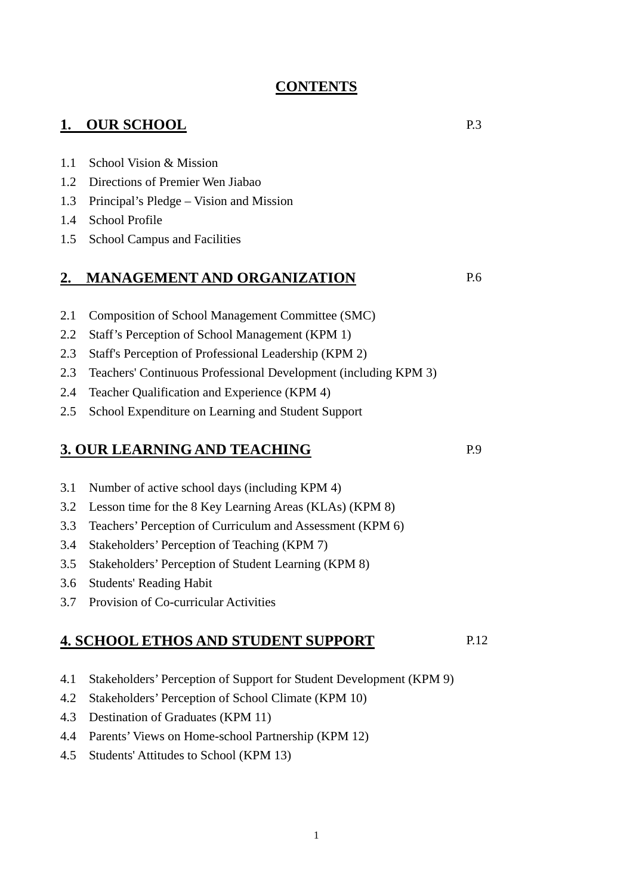## **CONTENTS**

# **1. OUR SCHOOL**

- 1.1 School Vision & Mission
- 1.2 Directions of Premier Wen Jiabao
- 1.3 Principal's Pledge Vision and Mission
- 1.4 School Profile
- 1.5 School Campus and Facilities

### **2. MANAGEMENT AND ORGANIZATION**

- 2.1 Composition of School Management Committee (SMC)
- 2.2 Staff's Perception of School Management (KPM 1)
- 2.3 Staff's Perception of Professional Leadership (KPM 2)
- 2.3 Teachers' Continuous Professional Development (including KPM 3)
- 2.4 Teacher Qualification and Experience (KPM 4)
- 2.5 School Expenditure on Learning and Student Support

### **3. OUR LEARNING AND TEACHING**

- 3.1 Number of active school days (including KPM 4)
- 3.2 Lesson time for the 8 Key Learning Areas (KLAs) (KPM 8)
- 3.3 Teachers' Perception of Curriculum and Assessment (KPM 6)
- 3.4 Stakeholders' Perception of Teaching (KPM 7)
- 3.5 Stakeholders' Perception of Student Learning (KPM 8)
- 3.6 Students' Reading Habit
- 3.7 Provision of Co-curricular Activities

### **4. SCHOOL ETHOS AND STUDENT SUPPORT**

- 4.1 Stakeholders' Perception of Support for Student Development (KPM 9)
- 4.2 Stakeholders' Perception of School Climate (KPM 10)
- 4.3 Destination of Graduates (KPM 11)
- 4.4 Parents' Views on Home-school Partnership (KPM 12)
- 4.5 Students' Attitudes to School (KPM 13)

P.3

P.6

P.9

P.12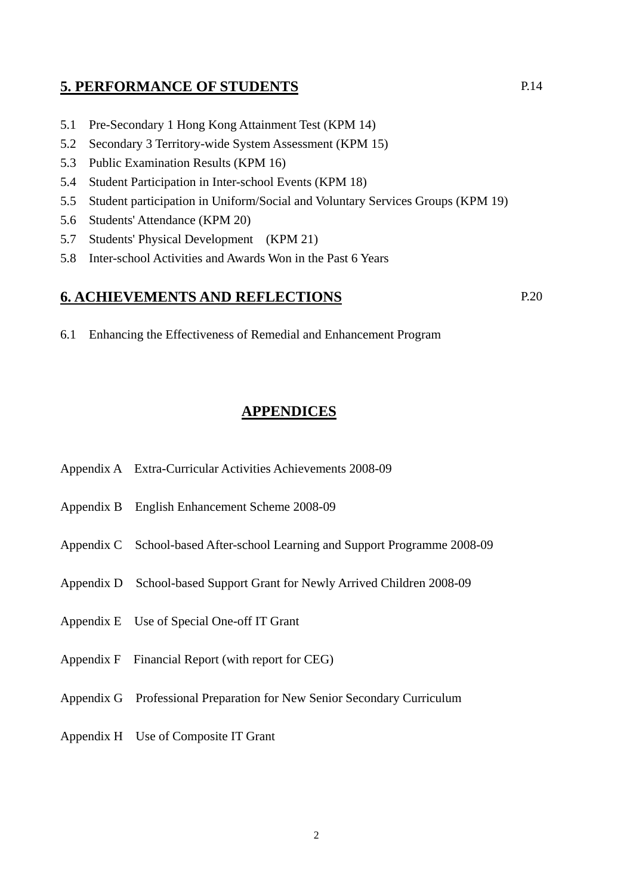### **5. PERFORMANCE OF STUDENTS**

- 5.1 Pre-Secondary 1 Hong Kong Attainment Test (KPM 14)
- 5.2 Secondary 3 Territory-wide System Assessment (KPM 15)
- 5.3 Public Examination Results (KPM 16)
- 5.4 Student Participation in Inter-school Events (KPM 18)
- 5.5 Student participation in Uniform/Social and Voluntary Services Groups (KPM 19)
- 5.6 Students' Attendance (KPM 20)
- 5.7 Students' Physical Development (KPM 21)
- 5.8 Inter-school Activities and Awards Won in the Past 6 Years

#### **6. ACHIEVEMENTS AND REFLECTIONS**

P.20

6.1 Enhancing the Effectiveness of Remedial and Enhancement Program

#### **APPENDICES**

- Appendix A Extra-Curricular Activities Achievements 2008-09
- Appendix B English Enhancement Scheme 2008-09
- Appendix C School-based After-school Learning and Support Programme 2008-09
- Appendix D School-based Support Grant for Newly Arrived Children 2008-09
- Appendix E Use of Special One-off IT Grant
- Appendix F Financial Report (with report for CEG)
- Appendix G Professional Preparation for New Senior Secondary Curriculum
- Appendix H Use of Composite IT Grant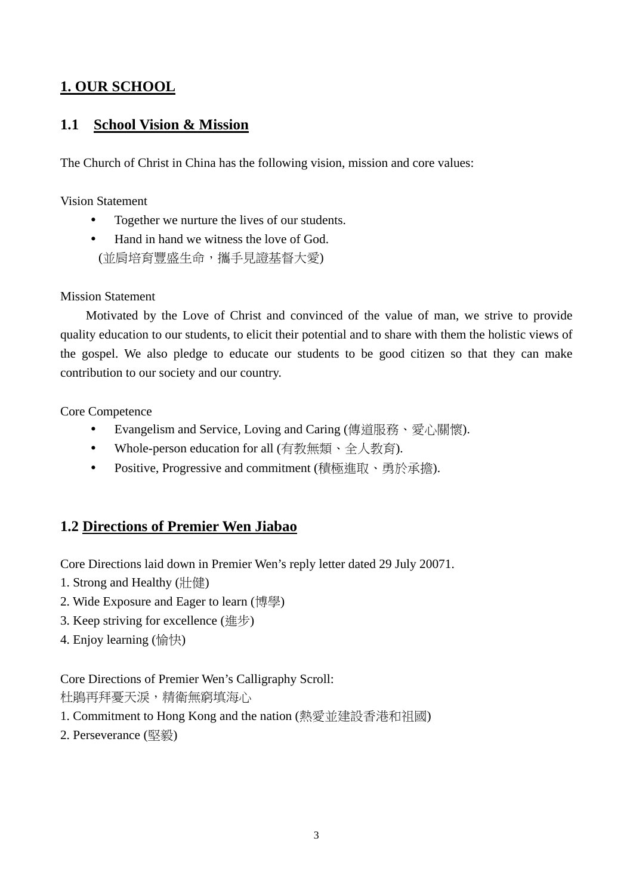# **1. OUR SCHOOL**

# **1.1 School Vision & Mission**

The Church of Christ in China has the following vision, mission and core values:

Vision Statement

- Together we nurture the lives of our students.
- Hand in hand we witness the love of God. (並肩培育豐盛生命,攜手見證基督大愛)

### Mission Statement

Motivated by the Love of Christ and convinced of the value of man, we strive to provide quality education to our students, to elicit their potential and to share with them the holistic views of the gospel. We also pledge to educate our students to be good citizen so that they can make contribution to our society and our country.

Core Competence

- Evangelism and Service, Loving and Caring (傳道服務、愛心關懷).
- Whole-person education for all (有教無類、全人教育).
- Positive, Progressive and commitment (積極進取、勇於承擔).

# **1.2 Directions of Premier Wen Jiabao**

Core Directions laid down in Premier Wen's reply letter dated 29 July 20071.

- 1. Strong and Healthy (壯健)
- 2. Wide Exposure and Eager to learn (博學)
- 3. Keep striving for excellence (進步)
- 4. Enjoy learning (愉快)

# Core Directions of Premier Wen's Calligraphy Scroll:

杜鵑再拜憂天淚,精衛無窮填海心

- 1. Commitment to Hong Kong and the nation (熱愛並建設香港和祖國)
- 2. Perseverance (堅毅)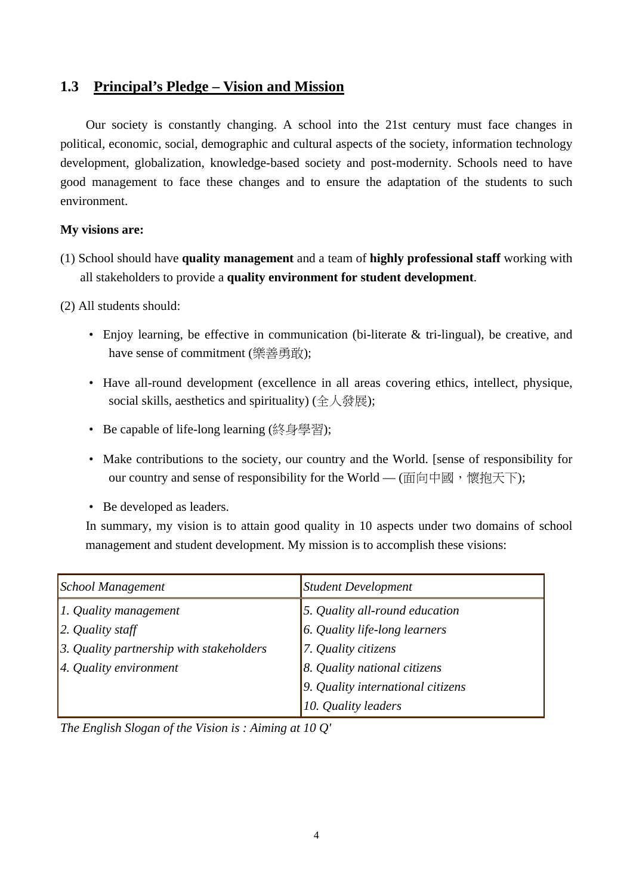## **1.3 Principal's Pledge – Vision and Mission**

Our society is constantly changing. A school into the 21st century must face changes in political, economic, social, demographic and cultural aspects of the society, information technology development, globalization, knowledge-based society and post-modernity. Schools need to have good management to face these changes and to ensure the adaptation of the students to such environment.

#### **My visions are:**

(1) School should have **quality management** and a team of **highly professional staff** working with all stakeholders to provide a **quality environment for student development**.

(2) All students should:

- Enjoy learning, be effective in communication (bi-literate & tri-lingual), be creative, and have sense of commitment (樂善勇敢);
- Have all-round development (excellence in all areas covering ethics, intellect, physique, social skills, aesthetics and spirituality) (全人發展);
- Be capable of life-long learning (終身學習);
- Make contributions to the society, our country and the World. [sense of responsibility for our country and sense of responsibility for the World — (面向中國,懷抱天下);
- Be developed as leaders.

In summary, my vision is to attain good quality in 10 aspects under two domains of school management and student development. My mission is to accomplish these visions:

| <b>School Management</b>                 | <b>Student Development</b>        |
|------------------------------------------|-----------------------------------|
| 1. Quality management                    | 5. Quality all-round education    |
| 2. Quality staff                         | 6. Quality life-long learners     |
| 3. Quality partnership with stakeholders | 7. Quality citizens               |
| 4. Quality environment                   | 8. Quality national citizens      |
|                                          | 9. Quality international citizens |
|                                          | 10. Quality leaders               |

*The English Slogan of the Vision is : Aiming at 10 Q'*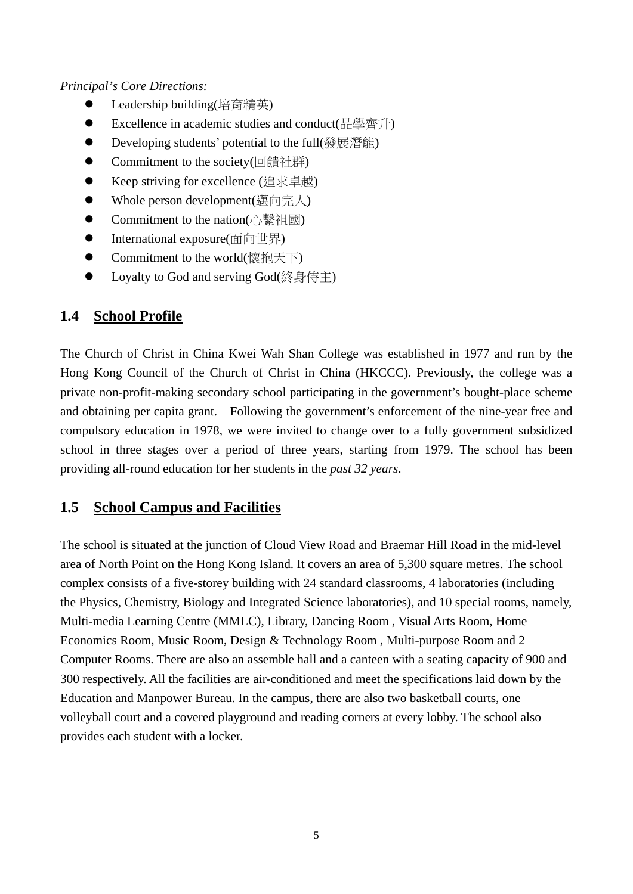### *Principal's Core Directions:*

- Leadership building(培育精英)
- Excellence in academic studies and conduct(品學齊升)
- Developing students' potential to the full(發展潛能)
- Commitment to the society(回饋社群)
- Keep striving for excellence (追求卓越)
- Whole person development(邁向完人)
- Commitment to the nation(心繫祖國)
- International exposure(面向世界)
- Commitment to the world(懷抱天下)
- Loyalty to God and serving God(終身侍主)

# **1.4 School Profile**

The Church of Christ in China Kwei Wah Shan College was established in 1977 and run by the Hong Kong Council of the Church of Christ in China (HKCCC). Previously, the college was a private non-profit-making secondary school participating in the government's bought-place scheme and obtaining per capita grant. Following the government's enforcement of the nine-year free and compulsory education in 1978, we were invited to change over to a fully government subsidized school in three stages over a period of three years, starting from 1979. The school has been providing all-round education for her students in the *past 32 years*.

# **1.5 School Campus and Facilities**

The school is situated at the junction of Cloud View Road and Braemar Hill Road in the mid-level area of North Point on the Hong Kong Island. It covers an area of 5,300 square metres. The school complex consists of a five-storey building with 24 standard classrooms, 4 laboratories (including the Physics, Chemistry, Biology and Integrated Science laboratories), and 10 special rooms, namely, Multi-media Learning Centre (MMLC), Library, Dancing Room , Visual Arts Room, Home Economics Room, Music Room, Design & Technology Room , Multi-purpose Room and 2 Computer Rooms. There are also an assemble hall and a canteen with a seating capacity of 900 and 300 respectively. All the facilities are air-conditioned and meet the specifications laid down by the Education and Manpower Bureau. In the campus, there are also two basketball courts, one volleyball court and a covered playground and reading corners at every lobby. The school also provides each student with a locker.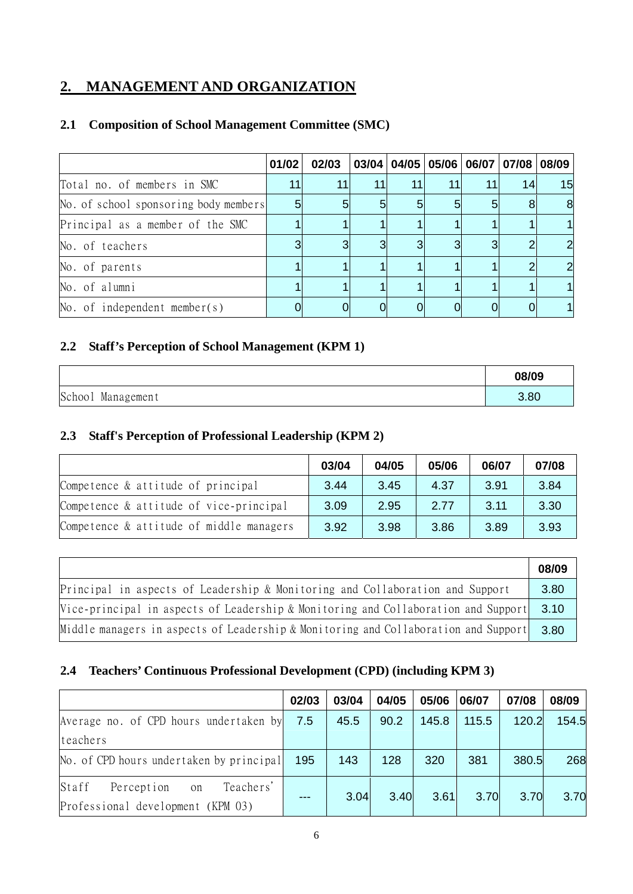# **2. MANAGEMENT AND ORGANIZATION**

### **2.1 Composition of School Management Committee (SMC)**

|                                       | 01/02 | 02/03 |    |              | 03/04 04/05 05/06 06/07 07/08 08/09 |    |                |
|---------------------------------------|-------|-------|----|--------------|-------------------------------------|----|----------------|
| Total no. of members in SMC           | 11    |       | 11 | 11           | 11                                  | 14 | 15             |
| No. of school sponsoring body members | 5     | 5     | 5  | $5^{\circ}$  | 5                                   | 8  | 8              |
| Principal as a member of the SMC      |       |       |    |              |                                     |    |                |
| No. of teachers                       |       |       |    | $\mathbf{B}$ |                                     |    | $\overline{2}$ |
| No. of parents                        |       |       |    |              |                                     |    | $\overline{2}$ |
| No. of alumni                         |       |       |    |              |                                     |    |                |
| No. of independent member( $s$ )      |       |       |    |              |                                     |    |                |

## **2.2 Staff's Perception of School Management (KPM 1)**

|                      | 08/09 |
|----------------------|-------|
| School<br>Management | 3.80  |

### **2.3 Staff's Perception of Professional Leadership (KPM 2)**

|                                          | 03/04 | 04/05 | 05/06 | 06/07 | 07/08 |
|------------------------------------------|-------|-------|-------|-------|-------|
| Competence & attitude of principal       | 3.44  | 3.45  | 4.37  | 3.91  | 3.84  |
| Competence & attitude of vice-principal  | 3.09  | 2.95  | 2.77  | 3.11  | 3.30  |
| Competence & attitude of middle managers | 3.92  | 3.98  | 3.86  | 3.89  | 3.93  |

|                                                                                     | 08/09 |
|-------------------------------------------------------------------------------------|-------|
| Principal in aspects of Leadership & Monitoring and Collaboration and Support       | 3.80  |
| Vice-principal in aspects of Leadership & Monitoring and Collaboration and Support  | 3.10  |
| Middle managers in aspects of Leadership & Monitoring and Collaboration and Support | 3.80  |

### **2.4 Teachers' Continuous Professional Development (CPD) (including KPM 3)**

|                                                                             | 02/03 | 03/04 | 04/05 | 05/06 | 06/07 | 07/08 | 08/09 |
|-----------------------------------------------------------------------------|-------|-------|-------|-------|-------|-------|-------|
| Average no. of CPD hours undertaken by 7.5                                  |       | 45.5  | 90.2  | 145.8 | 115.5 | 120.2 | 154.5 |
| teachers                                                                    |       |       |       |       |       |       |       |
| No. of CPD hours undertaken by principal                                    | 195   | 143   | 128   | 320   | 381   | 380.5 | 268   |
| Staff<br>Teachers'<br>Perception<br>on<br>Professional development (KPM 03) |       | 3.04  | 3.40  | 3.61  | 3.70  | 3.70  | 3.70  |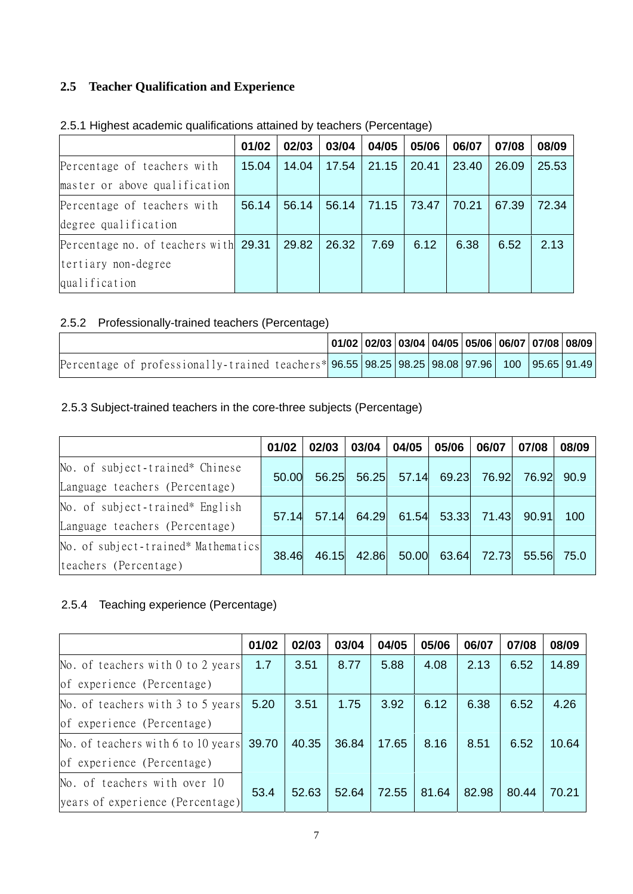## **2.5 Teacher Qualification and Experience**

|                                       | 01/02 | 02/03 | 03/04 | 04/05 | 05/06 | 06/07 | 07/08 | 08/09 |
|---------------------------------------|-------|-------|-------|-------|-------|-------|-------|-------|
| Percentage of teachers with           | 15.04 | 14.04 | 17.54 | 21.15 | 20.41 | 23.40 | 26.09 | 25.53 |
| master or above qualification         |       |       |       |       |       |       |       |       |
| Percentage of teachers with           | 56.14 | 56.14 | 56.14 | 71.15 | 73.47 | 70.21 | 67.39 | 72.34 |
| degree qualification                  |       |       |       |       |       |       |       |       |
| Percentage no. of teachers with 29.31 |       | 29.82 | 26.32 | 7.69  | 6.12  | 6.38  | 6.52  | 2.13  |
| tertiary non-degree                   |       |       |       |       |       |       |       |       |
| qualification                         |       |       |       |       |       |       |       |       |

### 2.5.1 Highest academic qualifications attained by teachers (Percentage)

### 2.5.2 Professionally-trained teachers (Percentage)

|                                                                                              | 01/02   02/03   03/04   04/05   05/06   06/07   07/08   08/09 |  |  |  |  |
|----------------------------------------------------------------------------------------------|---------------------------------------------------------------|--|--|--|--|
| Percentage of professionally-trained teachers* 96.55 98.25 98.25 98.08 97.96 100 95.65 91.49 |                                                               |  |  |  |  |

## 2.5.3 Subject-trained teachers in the core-three subjects (Percentage)

|                                     | 01/02 | 02/03 | 03/04 | 04/05                   | 05/06 | 06/07       | 07/08 | 08/09 |
|-------------------------------------|-------|-------|-------|-------------------------|-------|-------------|-------|-------|
| No. of subject-trained* Chinese     | 50.00 | 56.25 |       | 56.25 57.14 69.23 76.92 |       |             | 76.92 | 90.9  |
| Language teachers (Percentage)      |       |       |       |                         |       |             |       |       |
| No. of subject-trained* English     |       |       |       |                         |       |             |       |       |
| Language teachers (Percentage)      | 57.14 | 57.14 |       | 64.29 61.54 53.33 71.43 |       |             | 90.91 | 100   |
| No. of subject-trained* Mathematics |       |       |       |                         |       |             |       |       |
| teachers (Percentage)               | 38.46 | 46.15 | 42.86 | 50.00                   |       | 63.64 72.73 | 55.56 | 75.0  |

## 2.5.4 Teaching experience (Percentage)

|                                    | 01/02 | 02/03 | 03/04 | 04/05 | 05/06 | 06/07 | 07/08 | 08/09 |
|------------------------------------|-------|-------|-------|-------|-------|-------|-------|-------|
| No. of teachers with 0 to 2 years  | 1.7   | 3.51  | 8.77  | 5.88  | 4.08  | 2.13  | 6.52  | 14.89 |
| of experience (Percentage)         |       |       |       |       |       |       |       |       |
| No. of teachers with 3 to 5 years  | 5.20  | 3.51  | 1.75  | 3.92  | 6.12  | 6.38  | 6.52  | 4.26  |
| of experience (Percentage)         |       |       |       |       |       |       |       |       |
| No. of teachers with 6 to 10 years | 39.70 | 40.35 | 36.84 | 17.65 | 8.16  | 8.51  | 6.52  | 10.64 |
| of experience (Percentage)         |       |       |       |       |       |       |       |       |
| No. of teachers with over 10       |       |       |       | 72.55 |       | 82.98 |       |       |
| years of experience (Percentage)   | 53.4  | 52.63 | 52.64 |       | 81.64 |       | 80.44 | 70.21 |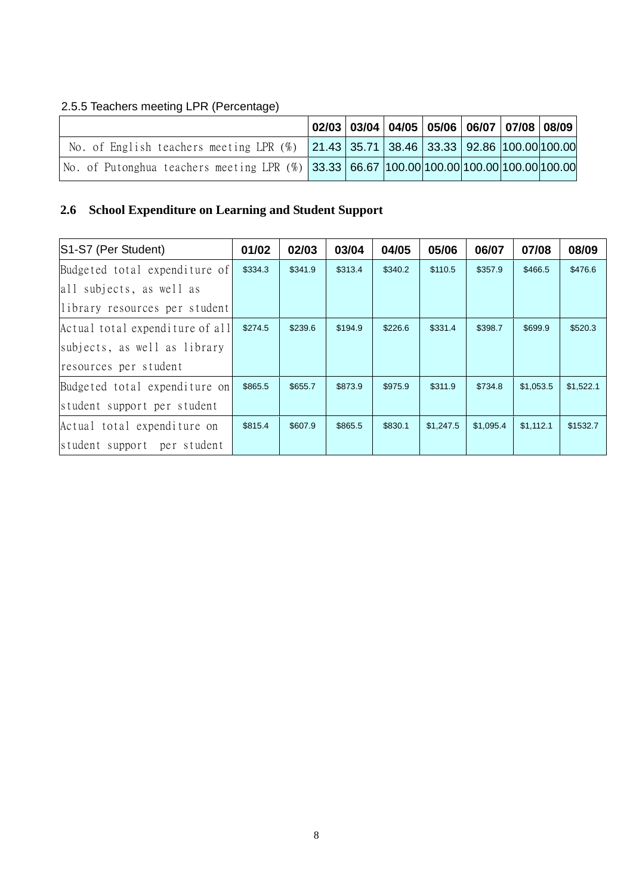# 2.5.5 Teachers meeting LPR (Percentage)

|                                                                                          |  | $\vert$ 02/03 $\vert$ 03/04 $\vert$ 04/05 $\vert$ 05/06 $\vert$ 06/07 $\vert$ 07/08 $\vert$ 08/09 $\vert$ |  |  |
|------------------------------------------------------------------------------------------|--|-----------------------------------------------------------------------------------------------------------|--|--|
| No. of English teachers meeting LPR (%) 21.43 35.71 38.46 33.33 92.86 100.00 100.00      |  |                                                                                                           |  |  |
| No. of Putonghua teachers meeting LPR (%) 33.33 66.67 100.00 100.00 100.00 100.00 100.00 |  |                                                                                                           |  |  |

# **2.6 School Expenditure on Learning and Student Support**

| S1-S7 (Per Student)             | 01/02   | 02/03   | 03/04   | 04/05   | 05/06     | 06/07     | 07/08     | 08/09     |
|---------------------------------|---------|---------|---------|---------|-----------|-----------|-----------|-----------|
| Budgeted total expenditure of   | \$334.3 | \$341.9 | \$313.4 | \$340.2 | \$110.5   | \$357.9   | \$466.5   | \$476.6   |
| all subjects, as well as        |         |         |         |         |           |           |           |           |
| library resources per student   |         |         |         |         |           |           |           |           |
| Actual total expenditure of all | \$274.5 | \$239.6 | \$194.9 | \$226.6 | \$331.4   | \$398.7   | \$699.9   | \$520.3   |
| subjects, as well as library    |         |         |         |         |           |           |           |           |
| resources per student           |         |         |         |         |           |           |           |           |
| Budgeted total expenditure on   | \$865.5 | \$655.7 | \$873.9 | \$975.9 | \$311.9   | \$734.8   | \$1,053.5 | \$1,522.1 |
| student support per student     |         |         |         |         |           |           |           |           |
| Actual total expenditure on     | \$815.4 | \$607.9 | \$865.5 | \$830.1 | \$1,247.5 | \$1,095.4 | \$1,112.1 | \$1532.7  |
| student support per student     |         |         |         |         |           |           |           |           |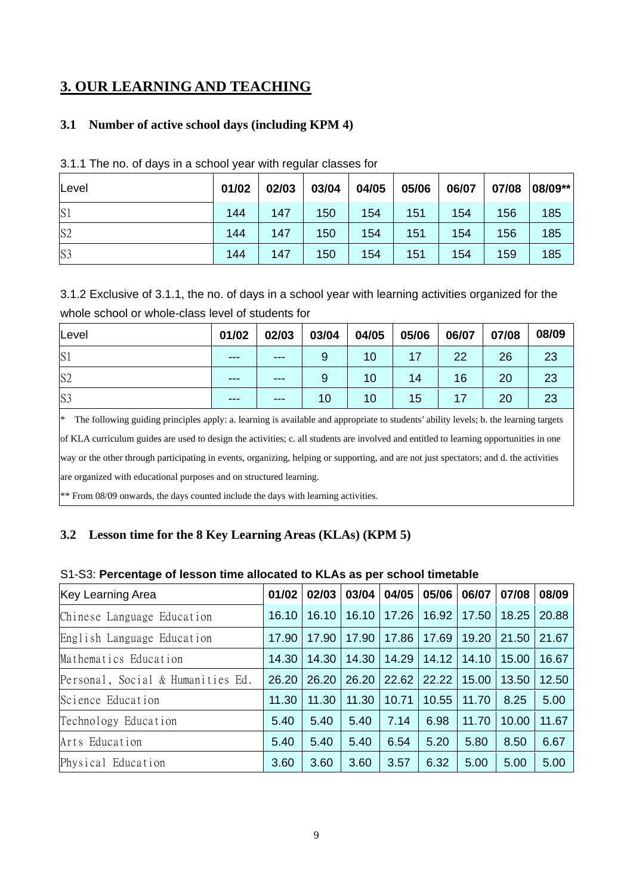# **3. OUR LEARNING AND TEACHING**

### **3.1 Number of active school days (including KPM 4)**

| lLevel         | 01/02 | 02/03 | 03/04 | 04/05 | 05/06 | 06/07 | 07/08 | 08/09** |
|----------------|-------|-------|-------|-------|-------|-------|-------|---------|
| S <sub>1</sub> | 144   | 147   | 150   | 154   | 151   | 154   | 156   | 185     |
| S <sub>2</sub> | 144   | 147   | 150   | 154   | 151   | 154   | 156   | 185     |
| S <sub>3</sub> | 144   | 147   | 150   | 154   | 151   | 154   | 159   | 185     |

|  |  |  | 3.1.1 The no. of days in a school year with regular classes for |
|--|--|--|-----------------------------------------------------------------|
|--|--|--|-----------------------------------------------------------------|

3.1.2 Exclusive of 3.1.1, the no. of days in a school year with learning activities organized for the whole school or whole-class level of students for

| Level                                                                                                                                           | 01/02                                                                                                                                   | 02/03 | 03/04 | 04/05 | 05/06 | 06/07 | 07/08 | 08/09 |  |  |
|-------------------------------------------------------------------------------------------------------------------------------------------------|-----------------------------------------------------------------------------------------------------------------------------------------|-------|-------|-------|-------|-------|-------|-------|--|--|
| S <sub>1</sub>                                                                                                                                  |                                                                                                                                         |       | 9     | 10    | 17    | 22    | 26    | 23    |  |  |
| S <sub>2</sub>                                                                                                                                  |                                                                                                                                         |       | 9     | 10    | 14    | 16    | 20    | 23    |  |  |
| S <sub>3</sub>                                                                                                                                  |                                                                                                                                         |       | 10    | 10    | 15    | 17    | 20    | 23    |  |  |
| $\ast$<br>The following guiding principles apply: a. learning is available and appropriate to students' ability levels; b. the learning targets |                                                                                                                                         |       |       |       |       |       |       |       |  |  |
| of KLA curriculum guides are used to design the activities; c. all students are involved and entitled to learning opportunities in one          |                                                                                                                                         |       |       |       |       |       |       |       |  |  |
|                                                                                                                                                 | way or the other through participating in events, organizing, helping or supporting, and are not just spectators; and d. the activities |       |       |       |       |       |       |       |  |  |
| are organized with educational purposes and on structured learning.                                                                             |                                                                                                                                         |       |       |       |       |       |       |       |  |  |
| $**$ From 08/09 onwards, the days counted include the days with learning activities.                                                            |                                                                                                                                         |       |       |       |       |       |       |       |  |  |

\*\* From 08/09 onwards, the days counted include the days with learning activities.

# **3.2 Lesson time for the 8 Key Learning Areas (KLAs) (KPM 5)**

#### S1-S3: **Percentage of lesson time allocated to KLAs as per school timetable**

| Key Learning Area                 | 01/02 | 02/03 | 03/04 | 04/05 | 05/06 | 06/07 | 07/08 | 08/09 |
|-----------------------------------|-------|-------|-------|-------|-------|-------|-------|-------|
| Chinese Language Education        | 16.10 | 16.10 | 16.10 | 17.26 | 16.92 | 17.50 | 18.25 | 20.88 |
| English Language Education        | 17.90 | 17.90 | 17.90 | 17.86 | 17.69 | 19.20 | 21.50 | 21.67 |
| Mathematics Education             | 14.30 | 14.30 | 14.30 | 14.29 | 14.12 | 14.10 | 15.00 | 16.67 |
| Personal, Social & Humanities Ed. | 26.20 | 26.20 | 26.20 | 22.62 | 22.22 | 15.00 | 13.50 | 12.50 |
| Science Education                 | 11.30 | 11.30 | 11.30 | 10.71 | 10.55 | 11.70 | 8.25  | 5.00  |
| Technology Education              | 5.40  | 5.40  | 5.40  | 7.14  | 6.98  | 11.70 | 10.00 | 11.67 |
| Arts Education                    | 5.40  | 5.40  | 5.40  | 6.54  | 5.20  | 5.80  | 8.50  | 6.67  |
| Physical Education                | 3.60  | 3.60  | 3.60  | 3.57  | 6.32  | 5.00  | 5.00  | 5.00  |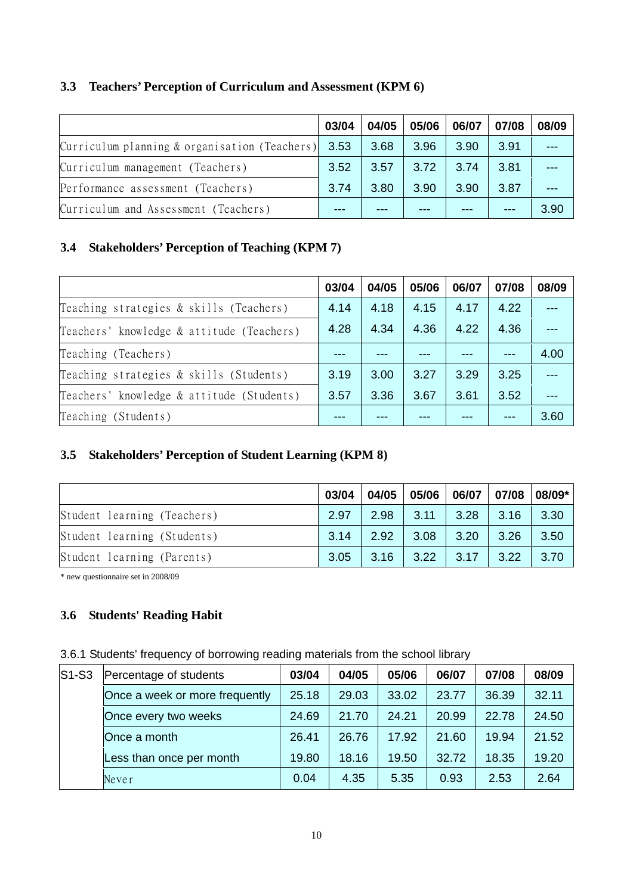## **3.3 Teachers' Perception of Curriculum and Assessment (KPM 6)**

|                                                       | 03/04 | 04/05 | 05/06 | 06/07        | 07/08 | 08/09 |
|-------------------------------------------------------|-------|-------|-------|--------------|-------|-------|
| Curriculum planning $\&$ organisation (Teachers) 3.53 |       | 3.68  | 3.96  | 3.90         | 3.91  |       |
| Curriculum management (Teachers)                      | 3.52  | 3.57  | 3.72  | $\vert 3.74$ | 3.81  |       |
| Performance assessment (Teachers)                     | 3.74  | 3.80  | 3.90  | 3.90         | 3.87  |       |
| Curriculum and Assessment (Teachers)                  |       |       |       |              |       | 3.90  |

## **3.4 Stakeholders' Perception of Teaching (KPM 7)**

|                                           | 03/04 | 04/05 | 05/06 | 06/07 | 07/08 | 08/09 |
|-------------------------------------------|-------|-------|-------|-------|-------|-------|
| Teaching strategies & skills (Teachers)   | 4.14  | 4.18  | 4.15  | 4.17  | 4.22  |       |
| Teachers' knowledge & attitude (Teachers) | 4.28  | 4.34  | 4.36  | 4.22  | 4.36  |       |
| Teaching (Teachers)                       |       |       |       |       |       | 4.00  |
| Teaching strategies & skills (Students)   | 3.19  | 3.00  | 3.27  | 3.29  | 3.25  |       |
| Teachers' knowledge & attitude (Students) | 3.57  | 3.36  | 3.67  | 3.61  | 3.52  |       |
| Teaching (Students)                       |       |       |       |       |       | 3.60  |

# **3.5 Stakeholders' Perception of Student Learning (KPM 8)**

|                             | 03/04 | 04/05                                                       | $\vert$ 05/06 $\vert$ 06/07 $\vert$ 07/08 $\vert$ 08/09* |                      |                          |      |
|-----------------------------|-------|-------------------------------------------------------------|----------------------------------------------------------|----------------------|--------------------------|------|
| Student learning (Teachers) | 2.97  | 2.98                                                        |                                                          |                      | $3.11$   $3.28$   $3.16$ | 3.30 |
| Student learning (Students) | 3.14  | $\begin{array}{c} \begin{array}{c} \end{array} \end{array}$ |                                                          | $3.08$   3.20   3.26 |                          | 3.50 |
| Student learning (Parents)  |       | $3.05$ $3.16$                                               | 3.22                                                     | $\parallel$ 3.17     | 3.22                     | 3.70 |

\* new questionnaire set in 2008/09

## **3.6 Students' Reading Habit**

|  |  |  | 3.6.1 Students' frequency of borrowing reading materials from the school library |
|--|--|--|----------------------------------------------------------------------------------|
|  |  |  |                                                                                  |

| $S1-S3$ | Percentage of students         | 03/04 | 04/05 | 05/06 | 06/07 | 07/08 | 08/09 |
|---------|--------------------------------|-------|-------|-------|-------|-------|-------|
|         | Once a week or more frequently | 25.18 | 29.03 | 33.02 | 23.77 | 36.39 | 32.11 |
|         | Once every two weeks           | 24.69 | 21.70 | 24.21 | 20.99 | 22.78 | 24.50 |
|         | Once a month                   | 26.41 | 26.76 | 17.92 | 21.60 | 19.94 | 21.52 |
|         | Less than once per month       | 19.80 | 18.16 | 19.50 | 32.72 | 18.35 | 19.20 |
|         | Never                          | 0.04  | 4.35  | 5.35  | 0.93  | 2.53  | 2.64  |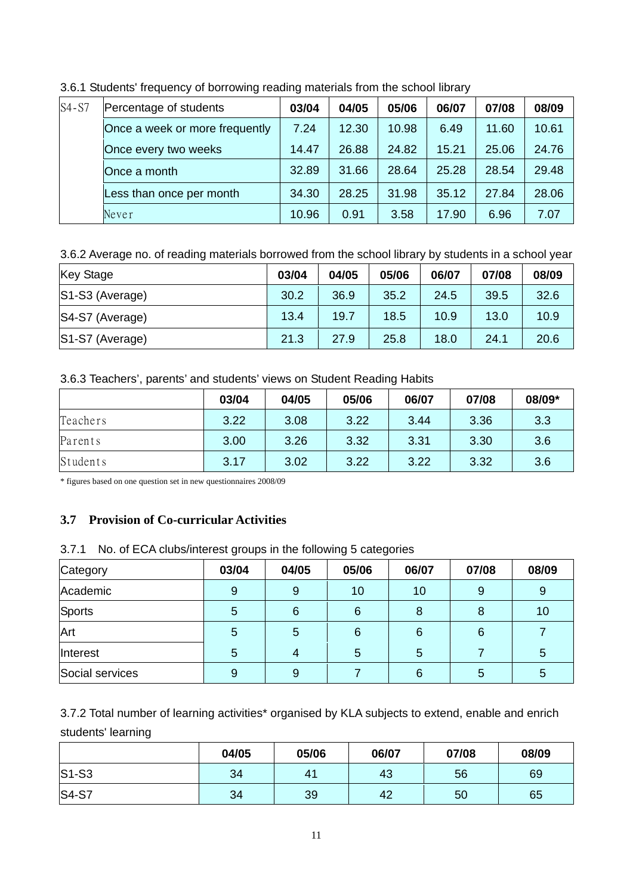| $S4-S7$ | Percentage of students         | 03/04 | 04/05 | 05/06 | 06/07 | 07/08 | 08/09 |
|---------|--------------------------------|-------|-------|-------|-------|-------|-------|
|         | Once a week or more frequently | 7.24  | 12.30 | 10.98 | 6.49  | 11.60 | 10.61 |
|         | Once every two weeks           | 14.47 | 26.88 | 24.82 | 15.21 | 25.06 | 24.76 |
|         | Once a month                   | 32.89 | 31.66 | 28.64 | 25.28 | 28.54 | 29.48 |
|         | Less than once per month       | 34.30 | 28.25 | 31.98 | 35.12 | 27.84 | 28.06 |
|         | Never                          | 10.96 | 0.91  | 3.58  | 17.90 | 6.96  | 7.07  |

3.6.1 Students' frequency of borrowing reading materials from the school library

### 3.6.2 Average no. of reading materials borrowed from the school library by students in a school year

| <b>Key Stage</b> | 03/04 | 04/05 | 05/06 | 06/07 | 07/08 | 08/09 |
|------------------|-------|-------|-------|-------|-------|-------|
| S1-S3 (Average)  | 30.2  | 36.9  | 35.2  | 24.5  | 39.5  | 32.6  |
| S4-S7 (Average)  | 13.4  | 19.7  | 18.5  | 10.9  | 13.0  | 10.9  |
| S1-S7 (Average)  | 21.3  | 27.9  | 25.8  | 18.0  | 24.1  | 20.6  |

### 3.6.3 Teachers', parents' and students' views on Student Reading Habits

|          | 03/04 | 04/05 | 05/06 | 06/07 | 07/08 | 08/09* |
|----------|-------|-------|-------|-------|-------|--------|
| Teachers | 3.22  | 3.08  | 3.22  | 3.44  | 3.36  | 3.3    |
| Parents  | 3.00  | 3.26  | 3.32  | 3.31  | 3.30  | 3.6    |
| Students | 3.17  | 3.02  | 3.22  | 3.22  | 3.32  | 3.6    |

\* figures based on one question set in new questionnaires 2008/09

# **3.7 Provision of Co-curricular Activities**

### 3.7.1 No. of ECA clubs/interest groups in the following 5 categories

| Category        | 03/04 | 04/05 | 05/06 | 06/07 | 07/08 | 08/09 |
|-----------------|-------|-------|-------|-------|-------|-------|
| Academic        | 9     | 9     | 10    | 10    | 9     | 9     |
| Sports          | 5     | 6     | 6     | 8     | 8     | 10    |
| Art             | 5     | 5     | 6     | 6     | 6     |       |
| Interest        | 5     | 4     | 5     | 5     |       | 5     |
| Social services | 9     | 9     |       | 6     | 5     | 5     |

# 3.7.2 Total number of learning activities\* organised by KLA subjects to extend, enable and enrich students' learning

|              | 04/05 | 05/06 | 06/07 | 07/08 | 08/09 |
|--------------|-------|-------|-------|-------|-------|
| S1-S3        | 34    | 41    | 43    | 56    | 69    |
| <b>S4-S7</b> | 34    | 39    | 42    | 50    | 65    |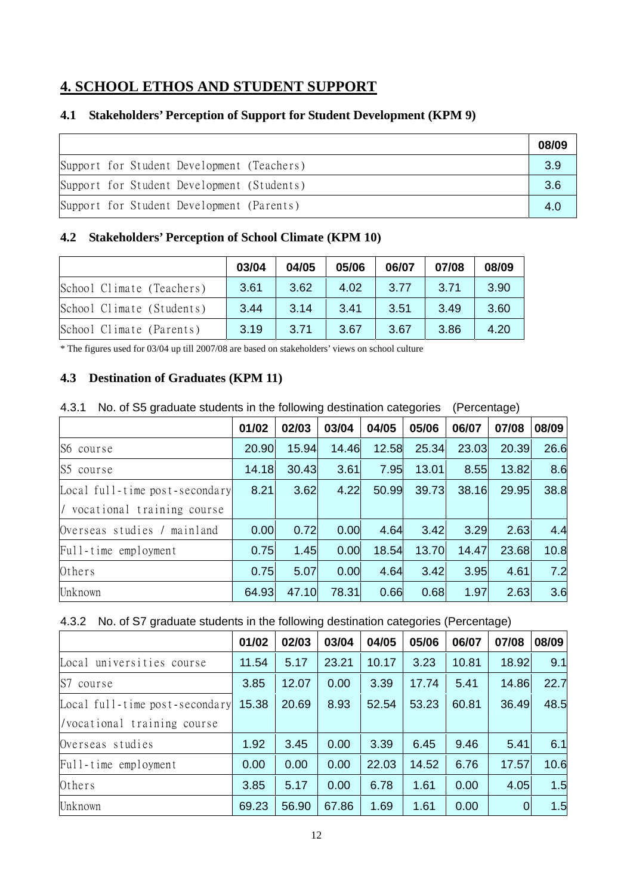# **4. SCHOOL ETHOS AND STUDENT SUPPORT**

|  |                                            | 08/09 |
|--|--------------------------------------------|-------|
|  | Support for Student Development (Teachers) | -3.9  |
|  | Support for Student Development (Students) | -3.6  |
|  | Support for Student Development (Parents)  | 41    |

### **4.1 Stakeholders' Perception of Support for Student Development (KPM 9)**

### **4.2 Stakeholders' Perception of School Climate (KPM 10)**

|                           | 03/04 | 04/05 | 05/06 | 06/07 | 07/08 | 08/09 |
|---------------------------|-------|-------|-------|-------|-------|-------|
| School Climate (Teachers) | 3.61  | 3.62  | 4.02  | 3.77  | 3.71  | 3.90  |
| School Climate (Students) | 3.44  | 3.14  | 3.41  | 3.51  | 3.49  | 3.60  |
| School Climate (Parents)  | 3.19  | 3.71  | 3.67  | 3.67  | 3.86  | 4.20  |

\* The figures used for 03/04 up till 2007/08 are based on stakeholders' views on school culture

#### **4.3 Destination of Graduates (KPM 11)**

|  | 4.3.1 No. of S5 graduate students in the following destination categories (Percentage) |  |
|--|----------------------------------------------------------------------------------------|--|
|  |                                                                                        |  |

|                                | 01/02 | 02/03 | 03/04 | 04/05 | 05/06 | 06/07 | 07/08 | 08/09 |
|--------------------------------|-------|-------|-------|-------|-------|-------|-------|-------|
| S6 course                      | 20.90 | 15.94 | 14.46 | 12.58 | 25.34 | 23.03 | 20.39 | 26.6  |
| S5 course                      | 14.18 | 30.43 | 3.61  | 7.95  | 13.01 | 8.55  | 13.82 | 8.6   |
| Local full-time post-secondary | 8.21  | 3.62  | 4.22  | 50.99 | 39.73 | 38.16 | 29.95 | 38.8  |
| / vocational training course   |       |       |       |       |       |       |       |       |
| Overseas studies /<br>mainland | 0.00  | 0.72  | 0.00  | 4.64  | 3.42  | 3.29  | 2.63  | 4.4   |
| Full-time employment           | 0.75  | 1.45  | 0.00  | 18.54 | 13.70 | 14.47 | 23.68 | 10.8  |
| Others                         | 0.75  | 5.07  | 0.00  | 4.64  | 3.42  | 3.95  | 4.61  | 7.2   |
| Unknown                        | 64.93 | 47.10 | 78.31 | 0.66  | 0.68  | 1.97  | 2.63  | 3.6   |

### 4.3.2 No. of S7 graduate students in the following destination categories (Percentage)

|                                | 01/02 | 02/03 | 03/04 | 04/05 | 05/06 | 06/07 | 07/08 | 08/09 |
|--------------------------------|-------|-------|-------|-------|-------|-------|-------|-------|
| Local universities course      | 11.54 | 5.17  | 23.21 | 10.17 | 3.23  | 10.81 | 18.92 | 9.1   |
| S7<br>course                   | 3.85  | 12.07 | 0.00  | 3.39  | 17.74 | 5.41  | 14.86 | 22.7  |
| Local full-time post-secondary | 15.38 | 20.69 | 8.93  | 52.54 | 53.23 | 60.81 | 36.49 | 48.5  |
| //vocational training course   |       |       |       |       |       |       |       |       |
| Overseas studies               | 1.92  | 3.45  | 0.00  | 3.39  | 6.45  | 9.46  | 5.41  | 6.1   |
| Full-time employment           | 0.00  | 0.00  | 0.00  | 22.03 | 14.52 | 6.76  | 17.57 | 10.6  |
| Others                         | 3.85  | 5.17  | 0.00  | 6.78  | 1.61  | 0.00  | 4.05  | 1.5   |
| Unknown                        | 69.23 | 56.90 | 67.86 | 1.69  | 1.61  | 0.00  | 0     | 1.5   |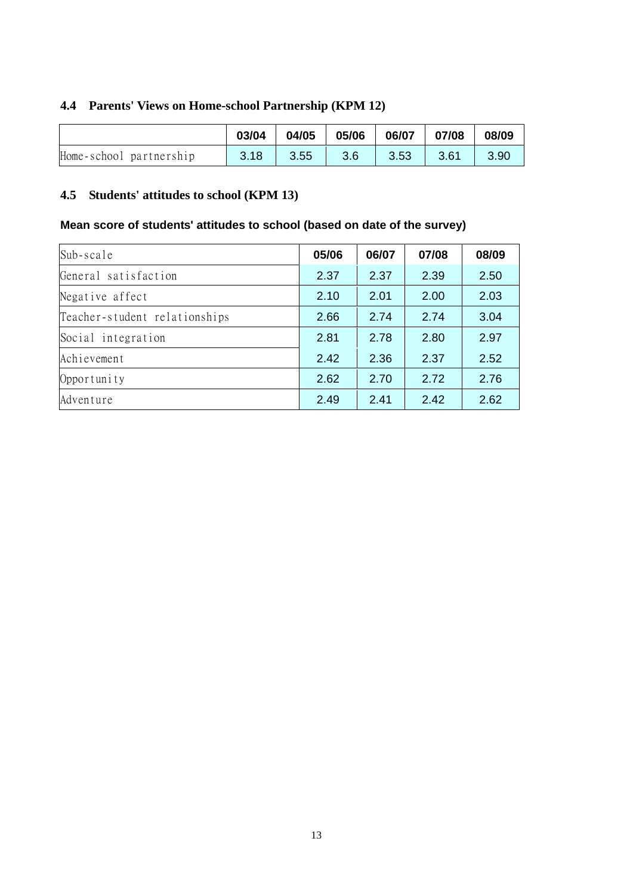## **4.4 Parents' Views on Home-school Partnership (KPM 12)**

|                         | 03/04 |                 |     |      | 06/07 07/08 | 08/09 |
|-------------------------|-------|-----------------|-----|------|-------------|-------|
| Home-school partnership |       | $3.18$   $3.55$ | 3.6 | 3.53 | -3.61       | 3.90  |

### **4.5 Students' attitudes to school (KPM 13)**

### **Mean score of students' attitudes to school (based on date of the survey)**

| Sub-scale                     | 05/06 | 06/07 | 07/08 | 08/09 |
|-------------------------------|-------|-------|-------|-------|
| General satisfaction          | 2.37  | 2.37  | 2.39  | 2.50  |
| Negative affect               | 2.10  | 2.01  | 2.00  | 2.03  |
| Teacher-student relationships | 2.66  | 2.74  | 2.74  | 3.04  |
| Social integration            | 2.81  | 2.78  | 2.80  | 2.97  |
| Achievement                   | 2.42  | 2.36  | 2.37  | 2.52  |
| Opportunity                   | 2.62  | 2.70  | 2.72  | 2.76  |
| Adventure                     | 2.49  | 2.41  | 2.42  | 2.62  |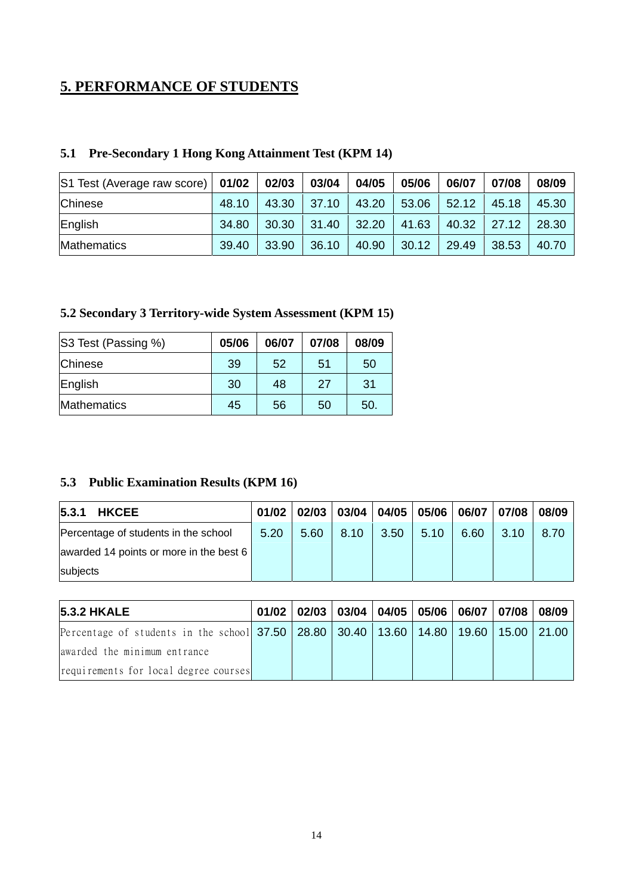# **5. PERFORMANCE OF STUDENTS**

## **5.1 Pre-Secondary 1 Hong Kong Attainment Test (KPM 14)**

| $ S1$ Test (Average raw score)   01/02   02/03 |       |       | 03/04 | 04/05 | 05/06 | 06/07           | 07/08 | 08/09 |
|------------------------------------------------|-------|-------|-------|-------|-------|-----------------|-------|-------|
| <b>Chinese</b>                                 | 48.10 | 43.30 | 37.10 | 43.20 | 53.06 | 52.12           | 45.18 | 45.30 |
| English                                        | 34.80 | 30.30 | 31.40 | 32.20 | 41.63 | $40.32$   27.12 |       | 28.30 |
| <b>Mathematics</b>                             | 39.40 | 33.90 | 36.10 | 40.90 | 30.12 | 29.49           | 38.53 | 40.70 |

## **5.2 Secondary 3 Territory-wide System Assessment (KPM 15)**

| S3 Test (Passing %) | 05/06 | 06/07 | 07/08 | 08/09 |
|---------------------|-------|-------|-------|-------|
| <b>Chinese</b>      | 39    | 52    | 51    | 50    |
| English             | 30    | 48    | 27    | 31    |
| <b>Mathematics</b>  | 45    | 56    | 50    | 50    |

# **5.3 Public Examination Results (KPM 16)**

| 5.3.1<br><b>HKCEE</b>                   | 01/02 |      | │02/03 │03/04 │04/05 │05/06 │06/07 │07/08 │ |                      |      |      | 08/09 |
|-----------------------------------------|-------|------|---------------------------------------------|----------------------|------|------|-------|
| Percentage of students in the school    | 5.20  | 5.60 |                                             | $8.10$   3.50   5.10 | 6.60 | 3.10 | 8.70  |
| awarded 14 points or more in the best 6 |       |      |                                             |                      |      |      |       |
| subjects                                |       |      |                                             |                      |      |      |       |

| <b>5.3.2 HKALE</b>                                                                   |  | │01/02   02/03   03/04   04/05   05/06   06/07   07/08 |  |  | 08/09 |
|--------------------------------------------------------------------------------------|--|--------------------------------------------------------|--|--|-------|
| Percentage of students in the school 37.50 28.80 30.40 13.60 14.80 19.60 15.00 21.00 |  |                                                        |  |  |       |
| awarded the minimum entrance                                                         |  |                                                        |  |  |       |
| requirements for local degree courses                                                |  |                                                        |  |  |       |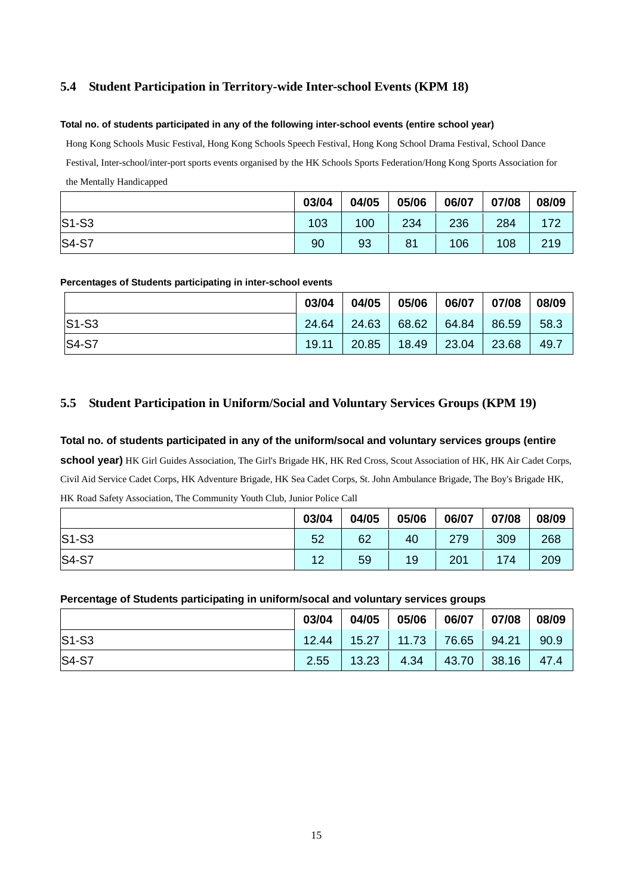#### **5.4 Student Participation in Territory-wide Inter-school Events (KPM 18)**

#### **Total no. of students participated in any of the following inter-school events (entire school year)**

Hong Kong Schools Music Festival, Hong Kong Schools Speech Festival, Hong Kong School Drama Festival, School Dance Festival, Inter-school/inter-port sports events organised by the HK Schools Sports Federation/Hong Kong Sports Association for the Mentally Handicapped

|              | 03/04 | 04/05 | 05/06 | 06/07 | 07/08 | 08/09 |
|--------------|-------|-------|-------|-------|-------|-------|
| $S1-S3$      | 103   | 100   | 234   | 236   | 284   | 172   |
| <b>S4-S7</b> | 90    | 93    | 81    | 106   | 108   | 219   |

#### **Percentages of Students participating in inter-school events**

|              | 03/04 | 04/05 | 05/06 | 06/07 | 07/08 | 08/09 |
|--------------|-------|-------|-------|-------|-------|-------|
| $ S1-S3$     | 24.64 | 24.63 | 68.62 | 64.84 | 86.59 | 58.3  |
| <b>S4-S7</b> | 19.11 | 20.85 | 18.49 | 23.04 | 23.68 | 49.7  |

#### **5.5 Student Participation in Uniform/Social and Voluntary Services Groups (KPM 19)**

**Total no. of students participated in any of the uniform/socal and voluntary services groups (entire school year)** HK Girl Guides Association, The Girl's Brigade HK, HK Red Cross, Scout Association of HK, HK Air Cadet Corps, Civil Aid Service Cadet Corps, HK Adventure Brigade, HK Sea Cadet Corps, St. John Ambulance Brigade, The Boy's Brigade HK, HK Road Safety Association, The Community Youth Club, Junior Police Call

|          | 03/04 | 04/05 | 05/06 | 06/07 | 07/08 | 08/09 |
|----------|-------|-------|-------|-------|-------|-------|
| $ S1-S3$ | 52    | 62    | 40    | 279   | 309   | 268   |
| $ S4-S7$ | 12    | 59    | 19    | 201   | 174   | 209   |

#### **Percentage of Students participating in uniform/socal and voluntary services groups**

|              | 03/04 | 04/05 | 05/06 | 06/07 | 07/08 | 08/09 |
|--------------|-------|-------|-------|-------|-------|-------|
| $S1-S3$      | 12.44 | 15.27 | 11.73 | 76.65 | 94.21 | 90.9  |
| <b>S4-S7</b> | 2.55  | 13.23 | 4.34  | 43.70 | 38.16 | 47.4  |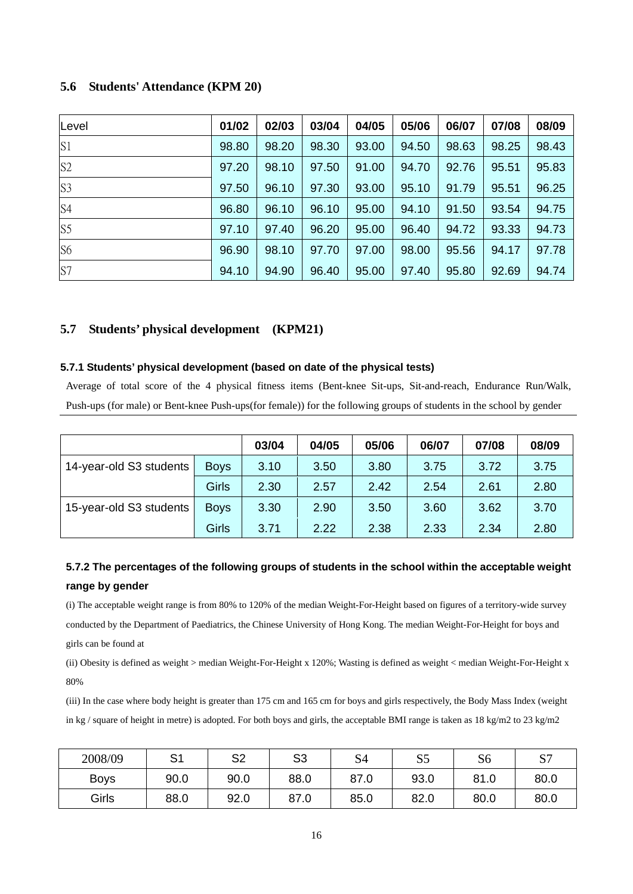#### **5.6 Students' Attendance (KPM 20)**

| Level          | 01/02 | 02/03 | 03/04 | 04/05 | 05/06 | 06/07 | 07/08 | 08/09 |
|----------------|-------|-------|-------|-------|-------|-------|-------|-------|
| S1             | 98.80 | 98.20 | 98.30 | 93.00 | 94.50 | 98.63 | 98.25 | 98.43 |
| S <sub>2</sub> | 97.20 | 98.10 | 97.50 | 91.00 | 94.70 | 92.76 | 95.51 | 95.83 |
| S3             | 97.50 | 96.10 | 97.30 | 93.00 | 95.10 | 91.79 | 95.51 | 96.25 |
| S4             | 96.80 | 96.10 | 96.10 | 95.00 | 94.10 | 91.50 | 93.54 | 94.75 |
| S5             | 97.10 | 97.40 | 96.20 | 95.00 | 96.40 | 94.72 | 93.33 | 94.73 |
| S <sub>6</sub> | 96.90 | 98.10 | 97.70 | 97.00 | 98.00 | 95.56 | 94.17 | 97.78 |
| S7             | 94.10 | 94.90 | 96.40 | 95.00 | 97.40 | 95.80 | 92.69 | 94.74 |

#### **5.7 Students' physical development (KPM21)**

#### **5.7.1 Students' physical development (based on date of the physical tests)**

Average of total score of the 4 physical fitness items (Bent-knee Sit-ups, Sit-and-reach, Endurance Run/Walk, Push-ups (for male) or Bent-knee Push-ups(for female)) for the following groups of students in the school by gender

|                         |              | 03/04 | 04/05 | 05/06 | 06/07 | 07/08 | 08/09 |
|-------------------------|--------------|-------|-------|-------|-------|-------|-------|
| 14-year-old S3 students | <b>Boys</b>  | 3.10  | 3.50  | 3.80  | 3.75  | 3.72  | 3.75  |
|                         | <b>Girls</b> | 2.30  | 2.57  | 2.42  | 2.54  | 2.61  | 2.80  |
| 15-year-old S3 students | <b>Boys</b>  | 3.30  | 2.90  | 3.50  | 3.60  | 3.62  | 3.70  |
|                         | <b>Girls</b> | 3.71  | 2.22  | 2.38  | 2.33  | 2.34  | 2.80  |

### **5.7.2 The percentages of the following groups of students in the school within the acceptable weight range by gender**

(i) The acceptable weight range is from 80% to 120% of the median Weight-For-Height based on figures of a territory-wide survey conducted by the Department of Paediatrics, the Chinese University of Hong Kong. The median Weight-For-Height for boys and girls can be found at

(ii) Obesity is defined as weight > median Weight-For-Height x 120%; Wasting is defined as weight < median Weight-For-Height x 80%

(iii) In the case where body height is greater than 175 cm and 165 cm for boys and girls respectively, the Body Mass Index (weight in kg / square of height in metre) is adopted. For both boys and girls, the acceptable BMI range is taken as 18 kg/m2 to 23 kg/m2

| 2008/09     | O1<br>ັ | S <sub>2</sub> | S <sub>3</sub> | S4   | S5   | S6   | S7   |
|-------------|---------|----------------|----------------|------|------|------|------|
| <b>Boys</b> | 90.0    | 90.0           | 88.0           | 87.0 | 93.0 | 81.0 | 80.0 |
| Girls       | 88.0    | 92.0           | 87.0           | 85.0 | 82.0 | 80.0 | 80.0 |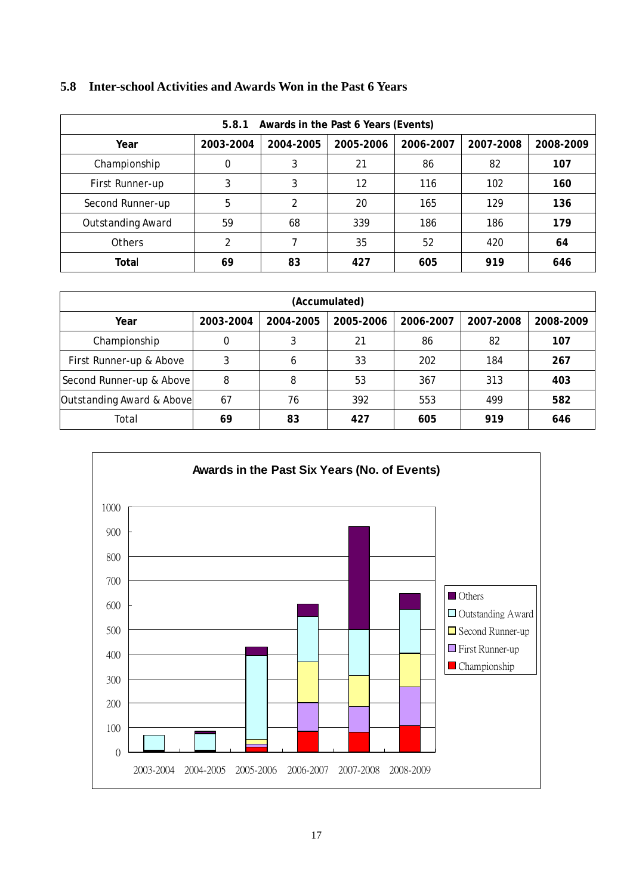### **5.8 Inter-school Activities and Awards Won in the Past 6 Years**

| Awards in the Past 6 Years (Events)<br>5.8.1 |           |                |           |           |           |           |  |  |  |  |
|----------------------------------------------|-----------|----------------|-----------|-----------|-----------|-----------|--|--|--|--|
| Year                                         | 2003-2004 | 2004-2005      | 2005-2006 | 2006-2007 | 2007-2008 | 2008-2009 |  |  |  |  |
| Championship                                 | 0         | 3              | 21        | 86        | 82        | 107       |  |  |  |  |
| First Runner-up                              | 3         | 3              | 12        | 116       | 102       | 160       |  |  |  |  |
| Second Runner-up                             | 5         | $\mathfrak{D}$ | 20        | 165       | 129       | 136       |  |  |  |  |
| <b>Outstanding Award</b>                     | 59        | 68             | 339       | 186       | 186       | 179       |  |  |  |  |
| <b>Others</b>                                | ∍         |                | 35        | 52        | 420       | 64        |  |  |  |  |
| Total                                        | 69        | 83             | 427       | 605       | 919       | 646       |  |  |  |  |

| (Accumulated)             |           |           |           |           |           |           |  |  |  |  |
|---------------------------|-----------|-----------|-----------|-----------|-----------|-----------|--|--|--|--|
| Year                      | 2003-2004 | 2004-2005 | 2005-2006 | 2006-2007 | 2007-2008 | 2008-2009 |  |  |  |  |
| Championship              |           | 3         | 21        | 86        | 82        | 107       |  |  |  |  |
| First Runner-up & Above   |           | 6         | 33        | 202       | 184       | 267       |  |  |  |  |
| Second Runner-up & Above  | 8         | 8         | 53        | 367       | 313       | 403       |  |  |  |  |
| Outstanding Award & Above | 67        | 76        | 392       | 553       | 499       | 582       |  |  |  |  |
| Total                     | 69        | 83        | 427       | 605       | 919       | 646       |  |  |  |  |

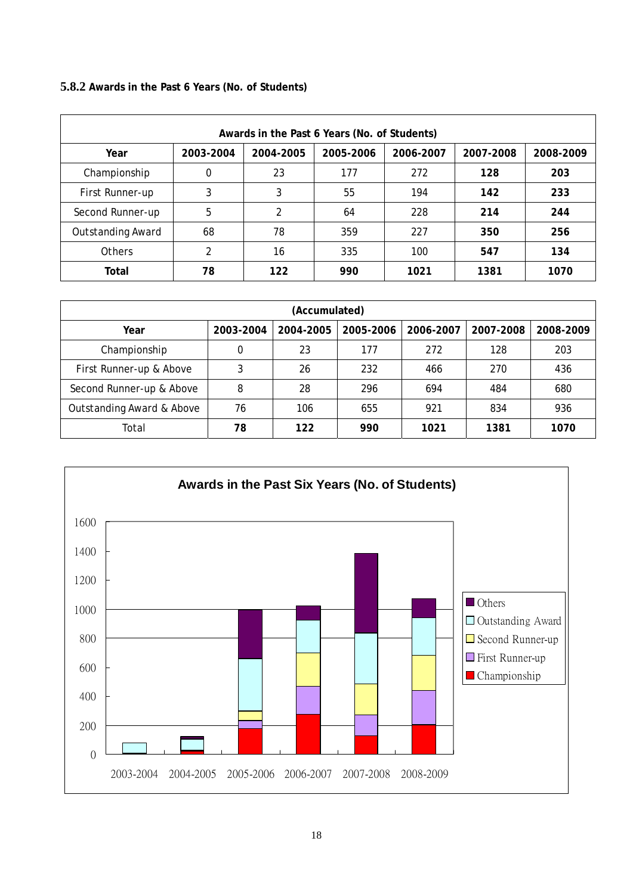#### **5.8.2 Awards in the Past 6 Years (No. of Students)**

| Awards in the Past 6 Years (No. of Students) |           |           |           |           |           |           |  |  |  |  |
|----------------------------------------------|-----------|-----------|-----------|-----------|-----------|-----------|--|--|--|--|
| Year                                         | 2003-2004 | 2004-2005 | 2005-2006 | 2006-2007 | 2007-2008 | 2008-2009 |  |  |  |  |
| Championship                                 | 0         | 23        | 177       | 272       | 128       | 203       |  |  |  |  |
| First Runner-up                              | 3         | 3         | 55        | 194       | 142       | 233       |  |  |  |  |
| Second Runner-up                             | 5         | 2         | 64        | 228       | 214       | 244       |  |  |  |  |
| <b>Outstanding Award</b>                     | 68        | 78        | 359       | 227       | 350       | 256       |  |  |  |  |
| <b>Others</b>                                | 2         | 16        | 335       | 100       | 547       | 134       |  |  |  |  |
| Total                                        | 78        | 122       | 990       | 1021      | 1381      | 1070      |  |  |  |  |

| (Accumulated)             |           |           |           |           |           |           |  |  |  |  |
|---------------------------|-----------|-----------|-----------|-----------|-----------|-----------|--|--|--|--|
| Year                      | 2003-2004 | 2004-2005 | 2005-2006 | 2006-2007 | 2007-2008 | 2008-2009 |  |  |  |  |
| Championship              | $\Omega$  | 23        | 177       | 272       | 128       | 203       |  |  |  |  |
| First Runner-up & Above   | 3         | 26        | 232       | 466       | 270       | 436       |  |  |  |  |
| Second Runner-up & Above  | 8         | 28        | 296       | 694       | 484       | 680       |  |  |  |  |
| Outstanding Award & Above | 76        | 106       | 655       | 921       | 834       | 936       |  |  |  |  |
| Total                     | 78        | 122       | 990       | 1021      | 1381      | 1070      |  |  |  |  |

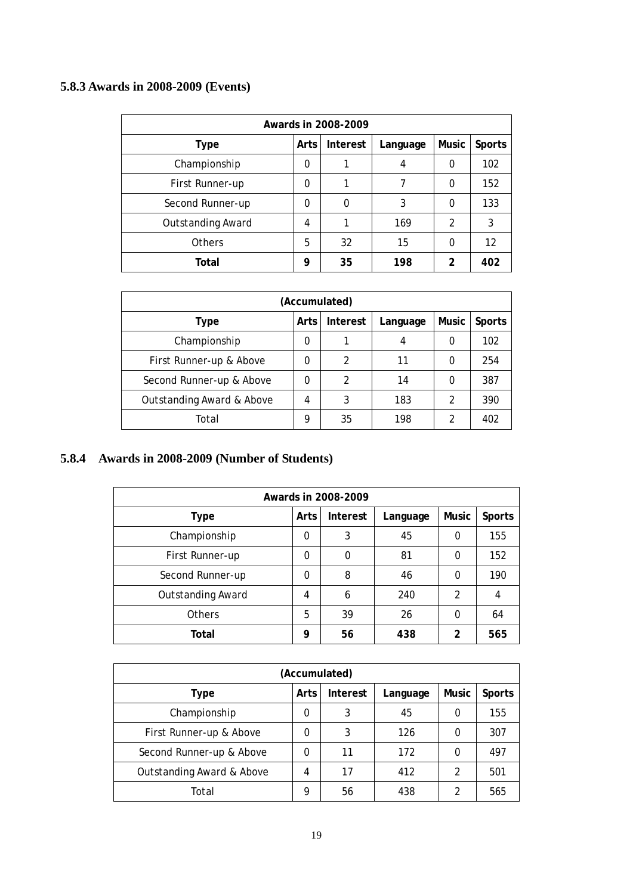### **5.8.3 Awards in 2008-2009 (Events)**

| Awards in 2008-2009      |                                                                      |    |     |                |     |  |  |  |  |
|--------------------------|----------------------------------------------------------------------|----|-----|----------------|-----|--|--|--|--|
| Type                     | <b>Music</b><br><b>Sports</b><br>Arts<br><b>Interest</b><br>Language |    |     |                |     |  |  |  |  |
| Championship             | 0                                                                    |    |     | 0              | 102 |  |  |  |  |
| First Runner-up          | $\Omega$                                                             |    | 7   | 0              | 152 |  |  |  |  |
| Second Runner-up         | $\Omega$                                                             | 0  | 3   | 0              | 133 |  |  |  |  |
| <b>Outstanding Award</b> | 4                                                                    |    | 169 | $\mathfrak{p}$ | 3   |  |  |  |  |
| <b>Others</b>            | 5                                                                    | 32 | 15  | 0              | 12  |  |  |  |  |
| Total                    | 9                                                                    | 35 | 198 | 2              | 402 |  |  |  |  |

| (Accumulated)                                               |          |    |     |   |     |  |  |  |
|-------------------------------------------------------------|----------|----|-----|---|-----|--|--|--|
| <b>Interest</b><br><b>Music</b><br>Arts<br>Type<br>Language |          |    |     |   |     |  |  |  |
| Championship                                                | 0        |    | 4   | 0 | 102 |  |  |  |
| First Runner-up & Above                                     | $\Omega$ | 2  | 11  |   | 254 |  |  |  |
| Second Runner-up & Above                                    |          | 2  | 14  |   | 387 |  |  |  |
| Outstanding Award & Above                                   |          | 3  | 183 | 2 | 390 |  |  |  |
| Total                                                       | 9        | 35 | 198 | 2 | 402 |  |  |  |

### **5.8.4 Awards in 2008-2009 (Number of Students)**

| Awards in 2008-2009      |                                                     |    |     |              |               |  |  |  |  |
|--------------------------|-----------------------------------------------------|----|-----|--------------|---------------|--|--|--|--|
| Type                     | <b>Interest</b><br><b>Music</b><br>Arts<br>Language |    |     |              | <b>Sports</b> |  |  |  |  |
| Championship             | 0                                                   | 3  | 45  | 0            | 155           |  |  |  |  |
| First Runner-up          | 0                                                   | 0  | 81  | $\mathbf{0}$ | 152           |  |  |  |  |
| Second Runner-up         | 0                                                   | 8  | 46  | 0            | 190           |  |  |  |  |
| <b>Outstanding Award</b> | 4                                                   | 6  | 240 | 2            | 4             |  |  |  |  |
| <b>Others</b>            | 5                                                   | 39 | 26  | 0            | 64            |  |  |  |  |
| Total                    | 9                                                   | 56 | 438 | 2            | 565           |  |  |  |  |

| (Accumulated)             |      |          |          |                |               |  |  |  |
|---------------------------|------|----------|----------|----------------|---------------|--|--|--|
| Type                      | Arts | Interest | Language | Music          | <b>Sports</b> |  |  |  |
| Championship              | 0    | 3        | 45       | 0              | 155           |  |  |  |
| First Runner-up & Above   | 0    | 3        | 126      | 0              | 307           |  |  |  |
| Second Runner-up & Above  | 0    | 11       | 172      | 0              | 497           |  |  |  |
| Outstanding Award & Above | 4    | 17       | 412      | $\mathfrak{D}$ | 501           |  |  |  |
| Total                     | 9    | 56       | 438      | $\mathcal{P}$  | 565           |  |  |  |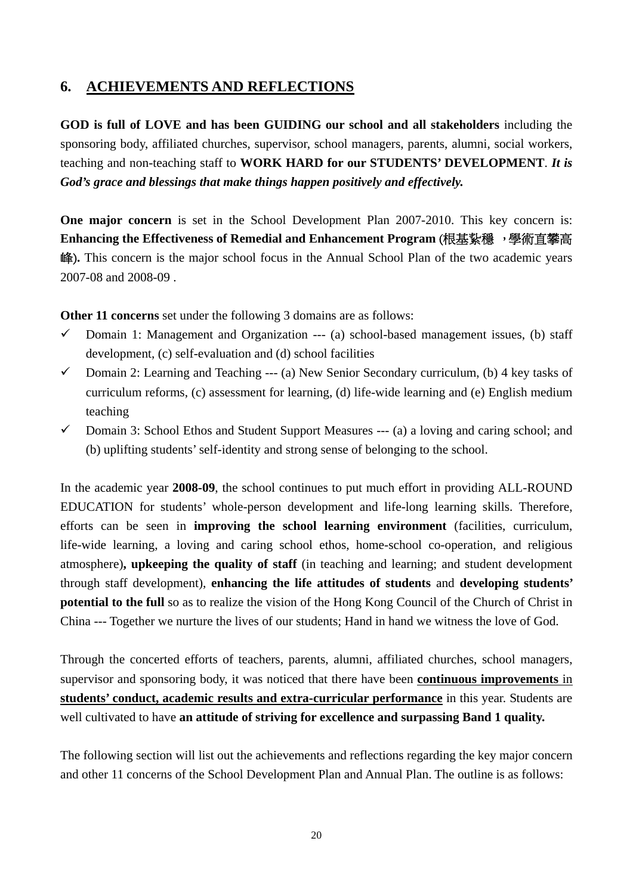# **6. ACHIEVEMENTS AND REFLECTIONS**

**GOD is full of LOVE and has been GUIDING our school and all stakeholders** including the sponsoring body, affiliated churches, supervisor, school managers, parents, alumni, social workers, teaching and non-teaching staff to **WORK HARD for our STUDENTS' DEVELOPMENT**. *It is God's grace and blessings that make things happen positively and effectively.*

**One major concern** is set in the School Development Plan 2007-2010. This key concern is: **Enhancing the Effectiveness of Remedial and Enhancement Program** (根基紥穩 ,學術直攀高 峰)**.** This concern is the major school focus in the Annual School Plan of the two academic years 2007-08 and 2008-09 .

**Other 11 concerns** set under the following 3 domains are as follows:

- $\checkmark$  Domain 1: Management and Organization --- (a) school-based management issues, (b) staff development, (c) self-evaluation and (d) school facilities
- $\checkmark$  Domain 2: Learning and Teaching --- (a) New Senior Secondary curriculum, (b) 4 key tasks of curriculum reforms, (c) assessment for learning, (d) life-wide learning and (e) English medium teaching
- $\checkmark$  Domain 3: School Ethos and Student Support Measures --- (a) a loving and caring school; and (b) uplifting students' self-identity and strong sense of belonging to the school.

In the academic year **2008-09**, the school continues to put much effort in providing ALL-ROUND EDUCATION for students' whole-person development and life-long learning skills. Therefore, efforts can be seen in **improving the school learning environment** (facilities, curriculum, life-wide learning, a loving and caring school ethos, home-school co-operation, and religious atmosphere)**, upkeeping the quality of staff** (in teaching and learning; and student development through staff development), **enhancing the life attitudes of students** and **developing students' potential to the full** so as to realize the vision of the Hong Kong Council of the Church of Christ in China --- Together we nurture the lives of our students; Hand in hand we witness the love of God.

Through the concerted efforts of teachers, parents, alumni, affiliated churches, school managers, supervisor and sponsoring body, it was noticed that there have been **continuous improvements** in **students' conduct, academic results and extra-curricular performance** in this year. Students are well cultivated to have **an attitude of striving for excellence and surpassing Band 1 quality.** 

The following section will list out the achievements and reflections regarding the key major concern and other 11 concerns of the School Development Plan and Annual Plan. The outline is as follows: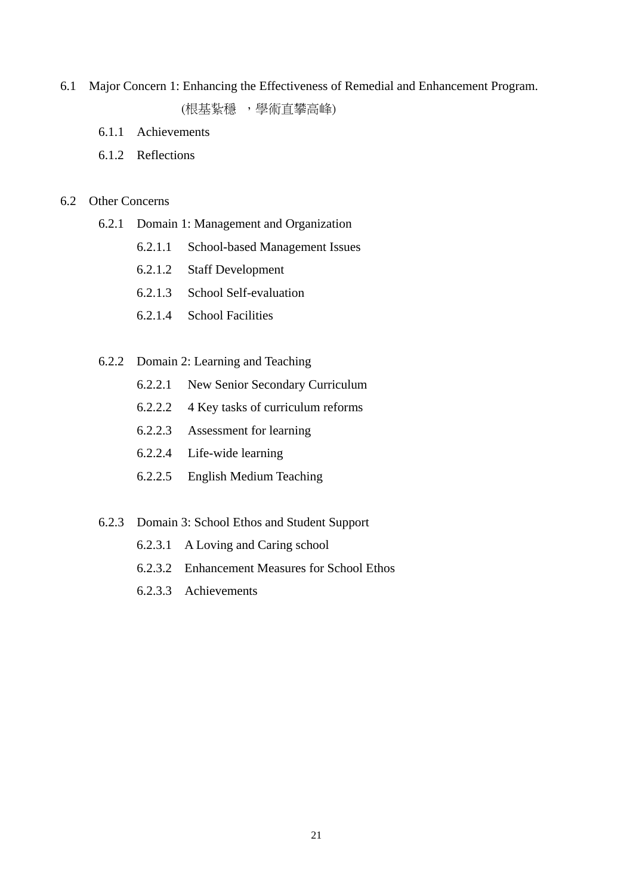#### 6.1 Major Concern 1: Enhancing the Effectiveness of Remedial and Enhancement Program.

(根基紥穩 ,學術直攀高峰)

- 6.1.1 Achievements
- 6.1.2 Reflections

#### 6.2 Other Concerns

- 6.2.1 Domain 1: Management and Organization
	- 6.2.1.1 School-based Management Issues
	- 6.2.1.2 Staff Development
	- 6.2.1.3 School Self-evaluation
	- 6.2.1.4 School Facilities
- 6.2.2 Domain 2: Learning and Teaching
	- 6.2.2.1 New Senior Secondary Curriculum
	- 6.2.2.2 4 Key tasks of curriculum reforms
	- 6.2.2.3 Assessment for learning
	- 6.2.2.4 Life-wide learning
	- 6.2.2.5 English Medium Teaching
- 6.2.3 Domain 3: School Ethos and Student Support
	- 6.2.3.1 A Loving and Caring school
	- 6.2.3.2 Enhancement Measures for School Ethos
	- 6.2.3.3 Achievements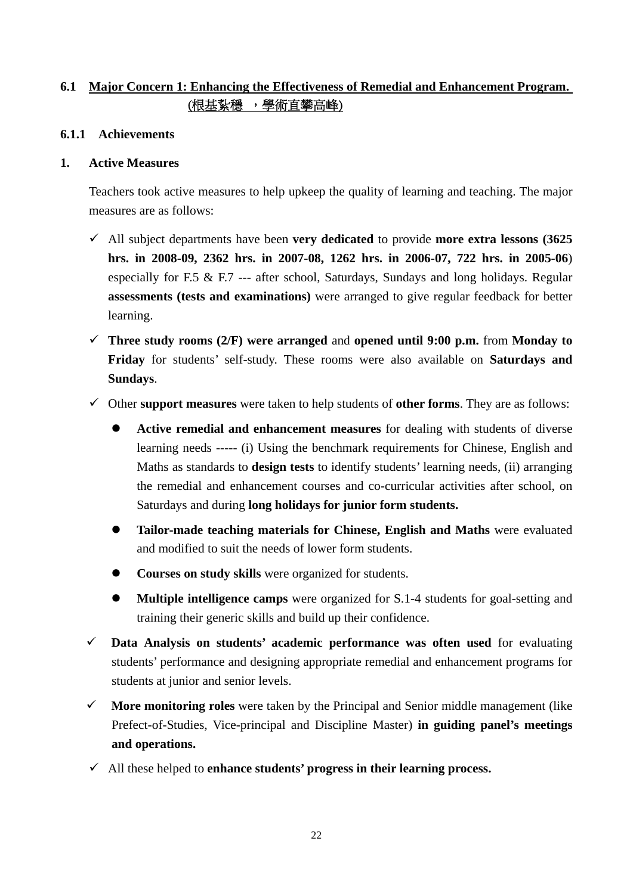# **6.1 Major Concern 1: Enhancing the Effectiveness of Remedial and Enhancement Program.**  (根基紥穩 ,學術直攀高峰)

### **6.1.1 Achievements**

#### **1. Active Measures**

Teachers took active measures to help upkeep the quality of learning and teaching. The major measures are as follows:

- All subject departments have been **very dedicated** to provide **more extra lessons (3625 hrs. in 2008-09, 2362 hrs. in 2007-08, 1262 hrs. in 2006-07, 722 hrs. in 2005-06**) especially for F.5 & F.7 --- after school, Saturdays, Sundays and long holidays. Regular **assessments (tests and examinations)** were arranged to give regular feedback for better learning.
- **Three study rooms (2/F) were arranged** and **opened until 9:00 p.m.** from **Monday to Friday** for students' self-study. These rooms were also available on **Saturdays and Sundays**.

Other **support measures** were taken to help students of **other forms**. They are as follows:

- **Active remedial and enhancement measures** for dealing with students of diverse learning needs ----- (i) Using the benchmark requirements for Chinese, English and Maths as standards to **design tests** to identify students' learning needs, (ii) arranging the remedial and enhancement courses and co-curricular activities after school, on Saturdays and during **long holidays for junior form students.**
- **Tailor-made teaching materials for Chinese, English and Maths** were evaluated and modified to suit the needs of lower form students.
- **Courses on study skills** were organized for students.
- **Multiple intelligence camps** were organized for S.1-4 students for goal-setting and training their generic skills and build up their confidence.
- **Data Analysis on students' academic performance was often used** for evaluating students' performance and designing appropriate remedial and enhancement programs for students at junior and senior levels.
- **More monitoring roles** were taken by the Principal and Senior middle management (like Prefect-of-Studies, Vice-principal and Discipline Master) **in guiding panel's meetings and operations.**
- All these helped to **enhance students' progress in their learning process.**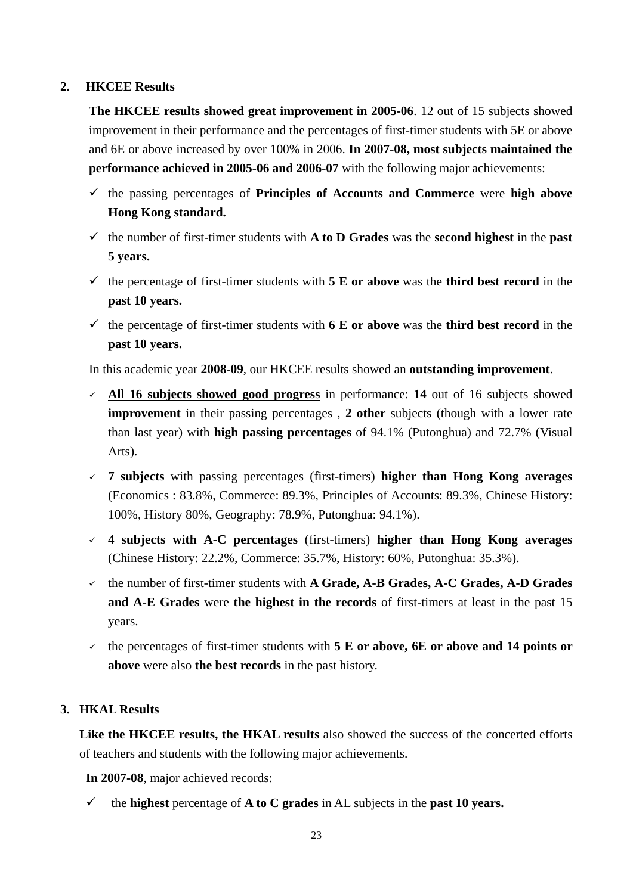#### **2. HKCEE Results**

**The HKCEE results showed great improvement in 2005-06**. 12 out of 15 subjects showed improvement in their performance and the percentages of first-timer students with 5E or above and 6E or above increased by over 100% in 2006. **In 2007-08, most subjects maintained the performance achieved in 2005-06 and 2006-07** with the following major achievements:

- the passing percentages of **Principles of Accounts and Commerce** were **high above Hong Kong standard.**
- $\checkmark$  the number of first-timer students with **A to D Grades** was the **second highest** in the **past 5 years.**
- $\checkmark$  the percentage of first-timer students with **5 E** or above was the **third best record** in the **past 10 years.**
- $\checkmark$  the percentage of first-timer students with **6 E** or above was the **third best record** in the **past 10 years.**

In this academic year **2008-09**, our HKCEE results showed an **outstanding improvement**.

- **All 16 subjects showed good progress** in performance: **14** out of 16 subjects showed **improvement** in their passing percentages **, 2 other** subjects (though with a lower rate than last year) with **high passing percentages** of 94.1% (Putonghua) and 72.7% (Visual Arts).
- **7 subjects** with passing percentages (first-timers) **higher than Hong Kong averages**  (Economics : 83.8%, Commerce: 89.3%, Principles of Accounts: 89.3%, Chinese History: 100%, History 80%, Geography: 78.9%, Putonghua: 94.1%).
- **4 subjects with A-C percentages** (first-timers) **higher than Hong Kong averages** (Chinese History: 22.2%, Commerce: 35.7%, History: 60%, Putonghua: 35.3%).
- the number of first-timer students with **A Grade, A-B Grades, A-C Grades, A-D Grades and A-E Grades** were **the highest in the records** of first-timers at least in the past 15 years.
- $\leq$  the percentages of first-timer students with **5 E** or above, 6**E** or above and 14 points or **above** were also **the best records** in the past history.

### **3. HKAL Results**

**Like the HKCEE results, the HKAL results** also showed the success of the concerted efforts of teachers and students with the following major achievements.

**In 2007-08**, major achieved records:

 $\checkmark$  the **highest** percentage of **A** to **C** grades in AL subjects in the **past 10 years.**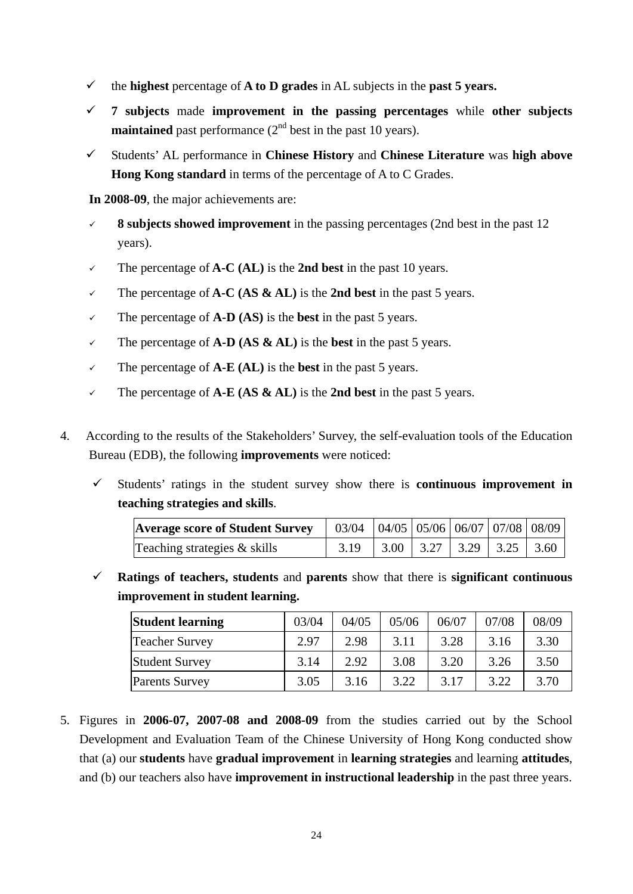- $\checkmark$  the **highest** percentage of **A to D grades** in AL subjects in the **past 5 years.**
- **7 subjects** made **improvement in the passing percentages** while **other subjects maintained** past performance  $(2<sup>nd</sup>$  best in the past 10 years).
- Students' AL performance in **Chinese History** and **Chinese Literature** was **high above Hong Kong standard** in terms of the percentage of A to C Grades.

**In 2008-09**, the major achievements are:

- **8 subjects showed improvement** in the passing percentages (2nd best in the past 12 years).
- $\checkmark$  The percentage of **A-C** (**AL**) is the **2nd best** in the past 10 years.
- The percentage of  $\overline{A-C}$  ( $\overline{AS} \& \overline{AL}$ ) is the 2nd best in the past 5 years.
- The percentage of  $\mathbf{A}\text{-}\mathbf{D}(\mathbf{A}\mathbf{S})$  is the **best** in the past 5 years.
- The percentage of  $\mathbf{A}\text{-}\mathbf{D}$  ( $\mathbf{AS} \& \mathbf{AL}$ ) is the **best** in the past 5 years.
- $\checkmark$  The percentage of  $\mathbf{A}\text{-}\mathbf{E}(\mathbf{A}\mathbf{L})$  is the **best** in the past 5 years.
- The percentage of  $\mathbf{A}-\mathbf{E}$  ( $\mathbf{AS} \& \mathbf{AL}$ ) is the 2nd best in the past 5 years.
- 4. According to the results of the Stakeholders' Survey, the self-evaluation tools of the Education Bureau (EDB), the following **improvements** were noticed:
	- Students' ratings in the student survey show there is **continuous improvement in teaching strategies and skills**.

| <b>Average score of Student Survey</b> |                                                     |  |  |  |
|----------------------------------------|-----------------------------------------------------|--|--|--|
| Teaching strategies & skills           | $3.19$   $3.00$   $3.27$   $3.29$   $3.25$   $3.60$ |  |  |  |

 **Ratings of teachers, students** and **parents** show that there is **significant continuous improvement in student learning.** 

| <b>Student learning</b> | 03/04 | 04/05 | 05/06 | 06/07 | 07/08 | 08/09 |
|-------------------------|-------|-------|-------|-------|-------|-------|
| <b>Teacher Survey</b>   | 2.97  | 2.98  | 3.11  | 3.28  | 3.16  | 3.30  |
| Student Survey          | 3.14  | 2.92  | 3.08  | 3.20  | 3.26  | 3.50  |
| <b>Parents Survey</b>   | 3.05  | 3.16  | 3.22  | 3.17  | 3.22  | 3.70  |

5. Figures in **2006-07, 2007-08 and 2008-09** from the studies carried out by the School Development and Evaluation Team of the Chinese University of Hong Kong conducted show that (a) our **students** have **gradual improvement** in **learning strategies** and learning **attitudes**, and (b) our teachers also have **improvement in instructional leadership** in the past three years.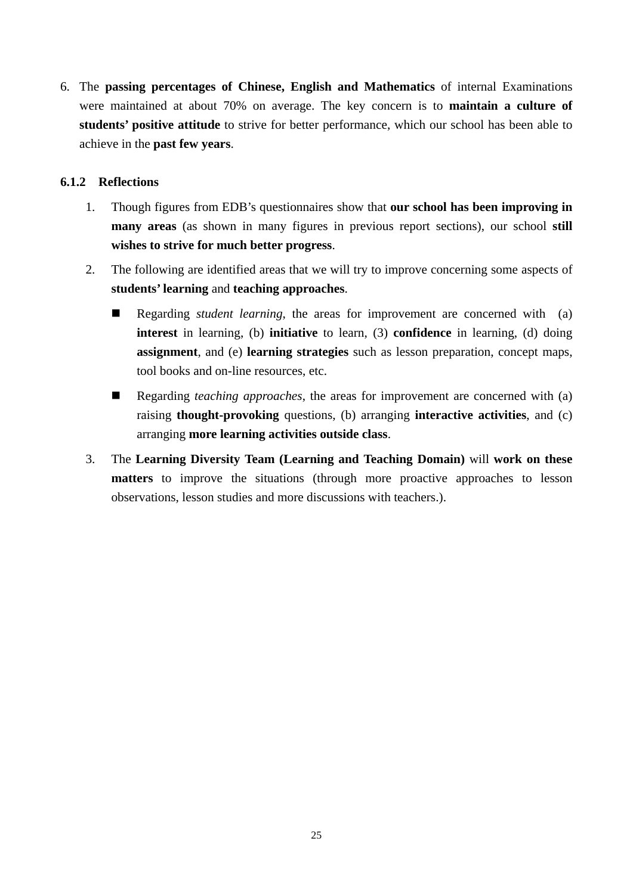6. The **passing percentages of Chinese, English and Mathematics** of internal Examinations were maintained at about 70% on average. The key concern is to **maintain a culture of students' positive attitude** to strive for better performance, which our school has been able to achieve in the **past few years**.

#### **6.1.2 Reflections**

- 1. Though figures from EDB's questionnaires show that **our school has been improving in many areas** (as shown in many figures in previous report sections), our school **still wishes to strive for much better progress**.
- 2. The following are identified areas that we will try to improve concerning some aspects of **students' learning** and **teaching approaches**.
	- Regarding *student learning*, the areas for improvement are concerned with (a) **interest** in learning, (b) **initiative** to learn, (3) **confidence** in learning, (d) doing **assignment**, and (e) **learning strategies** such as lesson preparation, concept maps, tool books and on-line resources, etc.
	- Regarding *teaching approaches*, the areas for improvement are concerned with (a) raising **thought-provoking** questions, (b) arranging **interactive activities**, and (c) arranging **more learning activities outside class**.
- 3. The **Learning Diversity Team (Learning and Teaching Domain)** will **work on these matters** to improve the situations (through more proactive approaches to lesson observations, lesson studies and more discussions with teachers.).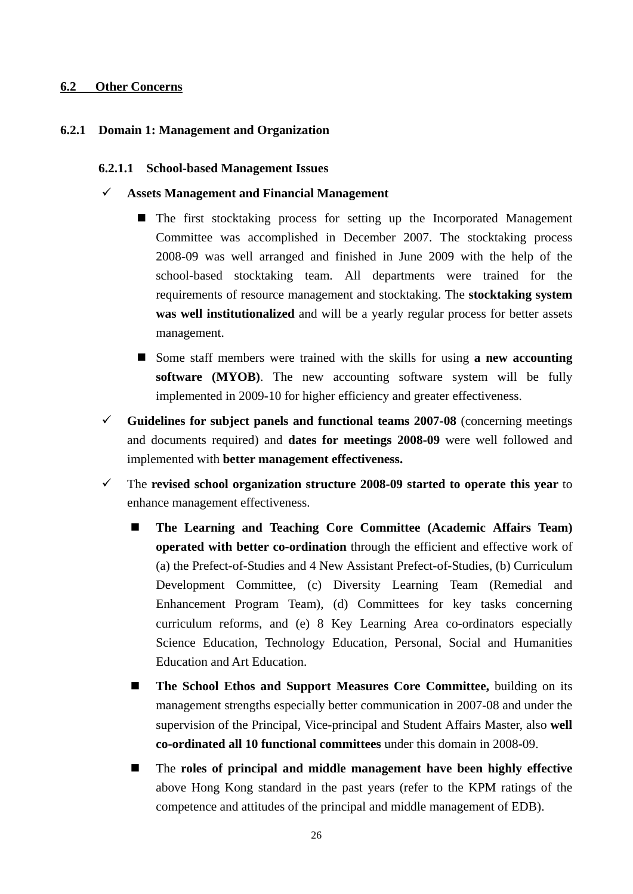#### **6.2 Other Concerns**

#### **6.2.1 Domain 1: Management and Organization**

#### **6.2.1.1 School-based Management Issues**

#### **Assets Management and Financial Management**

- The first stocktaking process for setting up the Incorporated Management Committee was accomplished in December 2007. The stocktaking process 2008-09 was well arranged and finished in June 2009 with the help of the school-based stocktaking team. All departments were trained for the requirements of resource management and stocktaking. The **stocktaking system was well institutionalized** and will be a yearly regular process for better assets management.
- Some staff members were trained with the skills for using **a new accounting software (MYOB)**. The new accounting software system will be fully implemented in 2009-10 for higher efficiency and greater effectiveness.
- $\checkmark$  Guidelines for subject panels and functional teams 2007-08 (concerning meetings and documents required) and **dates for meetings 2008-09** were well followed and implemented with **better management effectiveness.**
- The **revised school organization structure 2008-09 started to operate this year** to enhance management effectiveness.
	- **The Learning and Teaching Core Committee (Academic Affairs Team) operated with better co-ordination** through the efficient and effective work of (a) the Prefect-of-Studies and 4 New Assistant Prefect-of-Studies, (b) Curriculum Development Committee, (c) Diversity Learning Team (Remedial and Enhancement Program Team), (d) Committees for key tasks concerning curriculum reforms, and (e) 8 Key Learning Area co-ordinators especially Science Education, Technology Education, Personal, Social and Humanities Education and Art Education.
	- **The School Ethos and Support Measures Core Committee,** building on its management strengths especially better communication in 2007-08 and under the supervision of the Principal, Vice-principal and Student Affairs Master, also **well co-ordinated all 10 functional committees** under this domain in 2008-09.
	- The **roles of principal and middle management have been highly effective** above Hong Kong standard in the past years (refer to the KPM ratings of the competence and attitudes of the principal and middle management of EDB).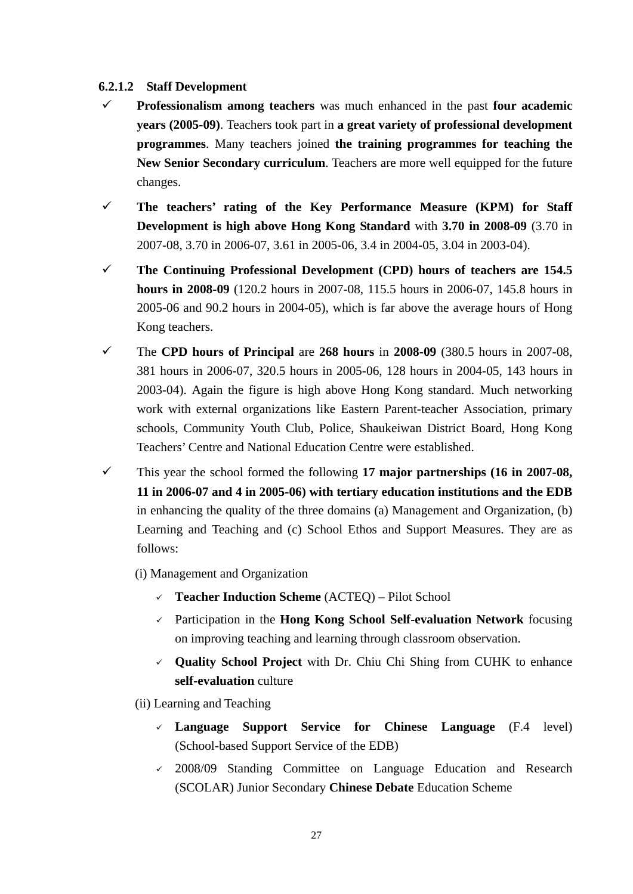#### **6.2.1.2 Staff Development**

- **Professionalism among teachers** was much enhanced in the past **four academic years (2005-09)**. Teachers took part in **a great variety of professional development programmes**. Many teachers joined **the training programmes for teaching the New Senior Secondary curriculum**. Teachers are more well equipped for the future changes.
- **The teachers' rating of the Key Performance Measure (KPM) for Staff Development is high above Hong Kong Standard** with **3.70 in 2008-09** (3.70 in 2007-08, 3.70 in 2006-07, 3.61 in 2005-06, 3.4 in 2004-05, 3.04 in 2003-04).
- **The Continuing Professional Development (CPD) hours of teachers are 154.5 hours in 2008-09** (120.2 hours in 2007-08, 115.5 hours in 2006-07, 145.8 hours in 2005-06 and 90.2 hours in 2004-05), which is far above the average hours of Hong Kong teachers.
- The **CPD hours of Principal** are **268 hours** in **2008-09** (380.5 hours in 2007-08, 381 hours in 2006-07, 320.5 hours in 2005-06, 128 hours in 2004-05, 143 hours in 2003-04). Again the figure is high above Hong Kong standard. Much networking work with external organizations like Eastern Parent-teacher Association, primary schools, Community Youth Club, Police, Shaukeiwan District Board, Hong Kong Teachers' Centre and National Education Centre were established.
- This year the school formed the following **17 major partnerships (16 in 2007-08, 11 in 2006-07 and 4 in 2005-06) with tertiary education institutions and the EDB** in enhancing the quality of the three domains (a) Management and Organization, (b) Learning and Teaching and (c) School Ethos and Support Measures. They are as follows:
	- (i) Management and Organization
		- **Teacher Induction Scheme** (ACTEQ) Pilot School
		- Participation in the **Hong Kong School Self-evaluation Network** focusing on improving teaching and learning through classroom observation.
		- **Quality School Project** with Dr. Chiu Chi Shing from CUHK to enhance **self-evaluation** culture
	- (ii) Learning and Teaching
		- **Language Support Service for Chinese Language** (F.4 level) (School-based Support Service of the EDB)
		- 2008/09 Standing Committee on Language Education and Research (SCOLAR) Junior Secondary **Chinese Debate** Education Scheme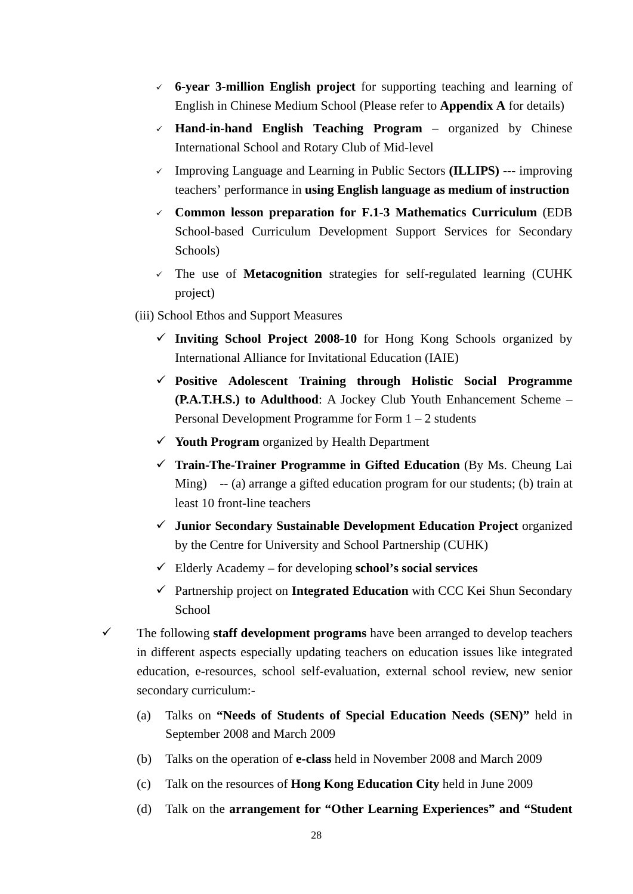- **6-year 3-million English project** for supporting teaching and learning of English in Chinese Medium School (Please refer to **Appendix A** for details)
- **Hand-in-hand English Teaching Program** organized by Chinese International School and Rotary Club of Mid-level
- Improving Language and Learning in Public Sectors **(ILLIPS) ---** improving teachers' performance in **using English language as medium of instruction**
- **Common lesson preparation for F.1-3 Mathematics Curriculum** (EDB School-based Curriculum Development Support Services for Secondary Schools)
- The use of **Metacognition** strategies for self-regulated learning (CUHK project)
- (iii) School Ethos and Support Measures
	- **Inviting School Project 2008-10** for Hong Kong Schools organized by International Alliance for Invitational Education (IAIE)
	- **Positive Adolescent Training through Holistic Social Programme (P.A.T.H.S.) to Adulthood**: A Jockey Club Youth Enhancement Scheme – Personal Development Programme for Form 1 – 2 students
	- **Youth Program** organized by Health Department
	- **Train-The-Trainer Programme in Gifted Education** (By Ms. Cheung Lai Ming) -- (a) arrange a gifted education program for our students; (b) train at least 10 front-line teachers
	- **Junior Secondary Sustainable Development Education Project** organized by the Centre for University and School Partnership (CUHK)
	- Elderly Academy for developing **school's social services**
	- Partnership project on **Integrated Education** with CCC Kei Shun Secondary School
- The following **staff development programs** have been arranged to develop teachers in different aspects especially updating teachers on education issues like integrated education, e-resources, school self-evaluation, external school review, new senior secondary curriculum:-
	- (a) Talks on **"Needs of Students of Special Education Needs (SEN)"** held in September 2008 and March 2009
	- (b) Talks on the operation of **e-class** held in November 2008 and March 2009
	- (c) Talk on the resources of **Hong Kong Education City** held in June 2009
	- (d) Talk on the **arrangement for "Other Learning Experiences" and "Student**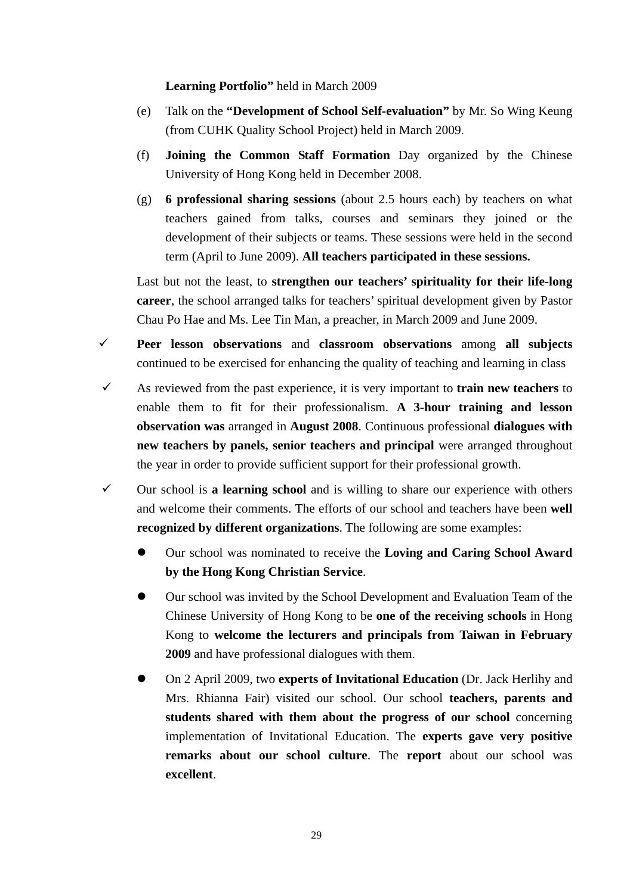#### **Learning Portfolio"** held in March 2009

- (e) Talk on the **"Development of School Self-evaluation"** by Mr. So Wing Keung (from CUHK Quality School Project) held in March 2009.
- (f) **Joining the Common Staff Formation** Day organized by the Chinese University of Hong Kong held in December 2008.
- (g) **6 professional sharing sessions** (about 2.5 hours each) by teachers on what teachers gained from talks, courses and seminars they joined or the development of their subjects or teams. These sessions were held in the second term (April to June 2009). **All teachers participated in these sessions.**

Last but not the least, to **strengthen our teachers' spirituality for their life-long career**, the school arranged talks for teachers' spiritual development given by Pastor Chau Po Hae and Ms. Lee Tin Man, a preacher, in March 2009 and June 2009.

- **Peer lesson observations** and **classroom observations** among **all subjects**  continued to be exercised for enhancing the quality of teaching and learning in class
- As reviewed from the past experience, it is very important to **train new teachers** to enable them to fit for their professionalism. **A 3-hour training and lesson observation was** arranged in **August 2008**. Continuous professional **dialogues with new teachers by panels, senior teachers and principal** were arranged throughout the year in order to provide sufficient support for their professional growth.
- $\checkmark$  Our school is **a learning school** and is willing to share our experience with others and welcome their comments. The efforts of our school and teachers have been **well recognized by different organizations**. The following are some examples:
	- Our school was nominated to receive the **Loving and Caring School Award by the Hong Kong Christian Service**.
	- Our school was invited by the School Development and Evaluation Team of the Chinese University of Hong Kong to be **one of the receiving schools** in Hong Kong to **welcome the lecturers and principals from Taiwan in February 2009** and have professional dialogues with them.
	- On 2 April 2009, two **experts of Invitational Education** (Dr. Jack Herlihy and Mrs. Rhianna Fair) visited our school. Our school **teachers, parents and students shared with them about the progress of our school** concerning implementation of Invitational Education. The **experts gave very positive remarks about our school culture**. The **report** about our school was **excellent**.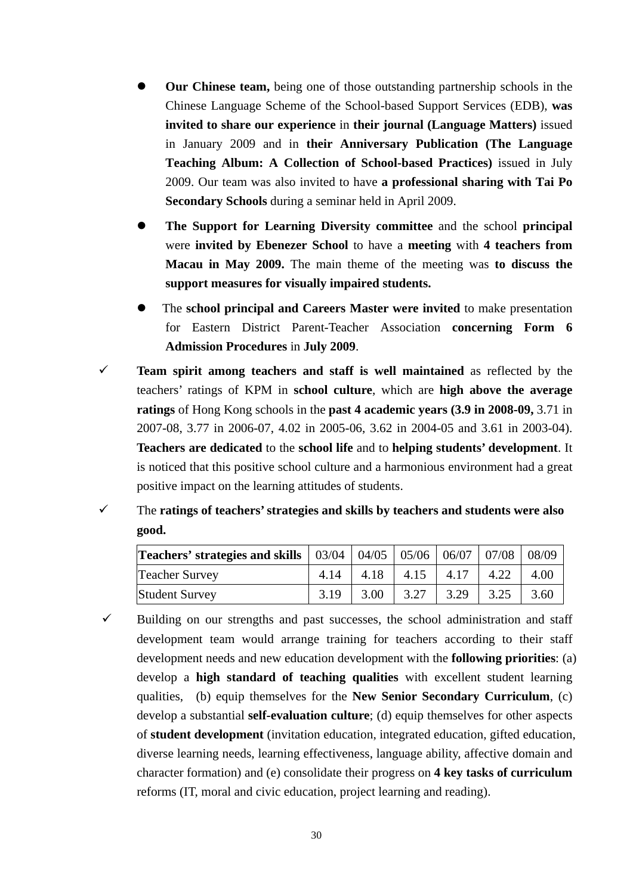- **Our Chinese team,** being one of those outstanding partnership schools in the Chinese Language Scheme of the School-based Support Services (EDB), **was invited to share our experience** in **their journal (Language Matters)** issued in January 2009 and in **their Anniversary Publication (The Language Teaching Album: A Collection of School-based Practices)** issued in July 2009. Our team was also invited to have **a professional sharing with Tai Po Secondary Schools** during a seminar held in April 2009.
- **The Support for Learning Diversity committee** and the school **principal**  were **invited by Ebenezer School** to have a **meeting** with **4 teachers from Macau in May 2009.** The main theme of the meeting was **to discuss the support measures for visually impaired students.**
- The **school principal and Careers Master were invited** to make presentation for Eastern District Parent-Teacher Association **concerning Form 6 Admission Procedures** in **July 2009**.
- **Team spirit among teachers and staff is well maintained** as reflected by the teachers' ratings of KPM in **school culture**, which are **high above the average ratings** of Hong Kong schools in the **past 4 academic years (3.9 in 2008-09,** 3.71 in 2007-08, 3.77 in 2006-07, 4.02 in 2005-06, 3.62 in 2004-05 and 3.61 in 2003-04). **Teachers are dedicated** to the **school life** and to **helping students' development**. It is noticed that this positive school culture and a harmonious environment had a great positive impact on the learning attitudes of students.
- The **ratings of teachers' strategies and skills by teachers and students were also good.**

| <b>Teachers' strategies and skills</b>   03/04   04/05   05/06   06/07   07/08   08/09 |      |      |      |                 |      |      |
|----------------------------------------------------------------------------------------|------|------|------|-----------------|------|------|
| <b>Teacher Survey</b>                                                                  | 4.14 | 4.18 |      | $4.15$   $4.17$ | 4.22 | 4.00 |
| <b>Student Survey</b>                                                                  | 3.19 | 3.00 | 3.27 | 3.29            | 3.25 | 3.60 |

 $\checkmark$  Building on our strengths and past successes, the school administration and staff development team would arrange training for teachers according to their staff development needs and new education development with the **following priorities**: (a) develop a **high standard of teaching qualities** with excellent student learning qualities, (b) equip themselves for the **New Senior Secondary Curriculum**, (c) develop a substantial **self-evaluation culture**; (d) equip themselves for other aspects of **student development** (invitation education, integrated education, gifted education, diverse learning needs, learning effectiveness, language ability, affective domain and character formation) and (e) consolidate their progress on **4 key tasks of curriculum**  reforms (IT, moral and civic education, project learning and reading).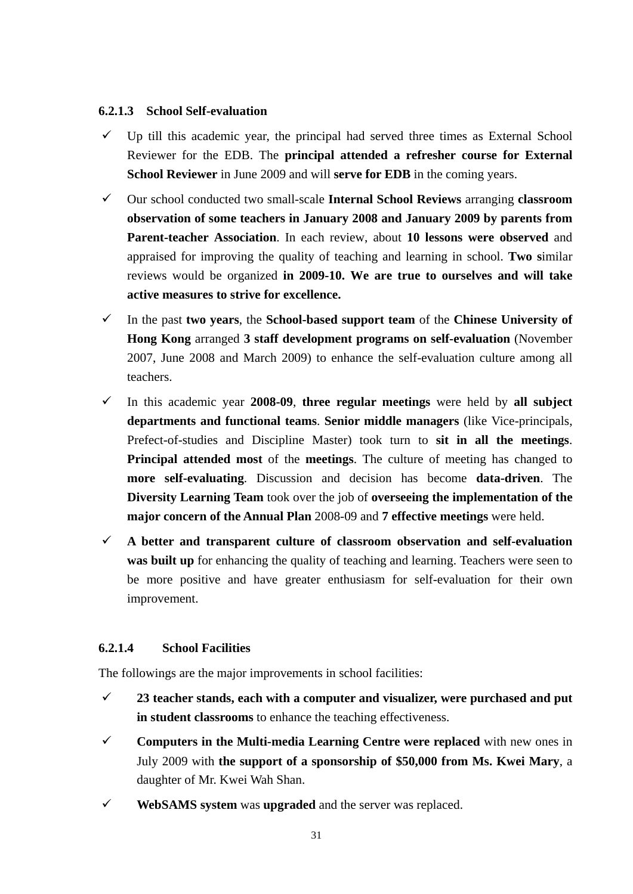#### **6.2.1.3 School Self-evaluation**

- Up till this academic year, the principal had served three times as External School Reviewer for the EDB. The **principal attended a refresher course for External School Reviewer** in June 2009 and will **serve for EDB** in the coming years.
- Our school conducted two small-scale **Internal School Reviews** arranging **classroom observation of some teachers in January 2008 and January 2009 by parents from Parent-teacher Association**. In each review, about **10 lessons were observed** and appraised for improving the quality of teaching and learning in school. **Two s**imilar reviews would be organized **in 2009-10. We are true to ourselves and will take active measures to strive for excellence.**
- In the past **two years**, the **School-based support team** of the **Chinese University of Hong Kong** arranged **3 staff development programs on self-evaluation** (November 2007, June 2008 and March 2009) to enhance the self-evaluation culture among all teachers.
- $\checkmark$  In this academic year 2008-09, three regular meetings were held by all subject **departments and functional teams**. **Senior middle managers** (like Vice-principals, Prefect-of-studies and Discipline Master) took turn to **sit in all the meetings**. **Principal attended most** of the **meetings**. The culture of meeting has changed to **more self-evaluating**. Discussion and decision has become **data-driven**. The **Diversity Learning Team** took over the job of **overseeing the implementation of the major concern of the Annual Plan** 2008-09 and **7 effective meetings** were held.
- **A better and transparent culture of classroom observation and self-evaluation was built up** for enhancing the quality of teaching and learning. Teachers were seen to be more positive and have greater enthusiasm for self-evaluation for their own improvement.

### **6.2.1.4 School Facilities**

The followings are the major improvements in school facilities:

- **23 teacher stands, each with a computer and visualizer, were purchased and put in student classrooms** to enhance the teaching effectiveness.
- **Computers in the Multi-media Learning Centre were replaced** with new ones in July 2009 with **the support of a sponsorship of \$50,000 from Ms. Kwei Mary**, a daughter of Mr. Kwei Wah Shan.
- **WebSAMS system** was **upgraded** and the server was replaced.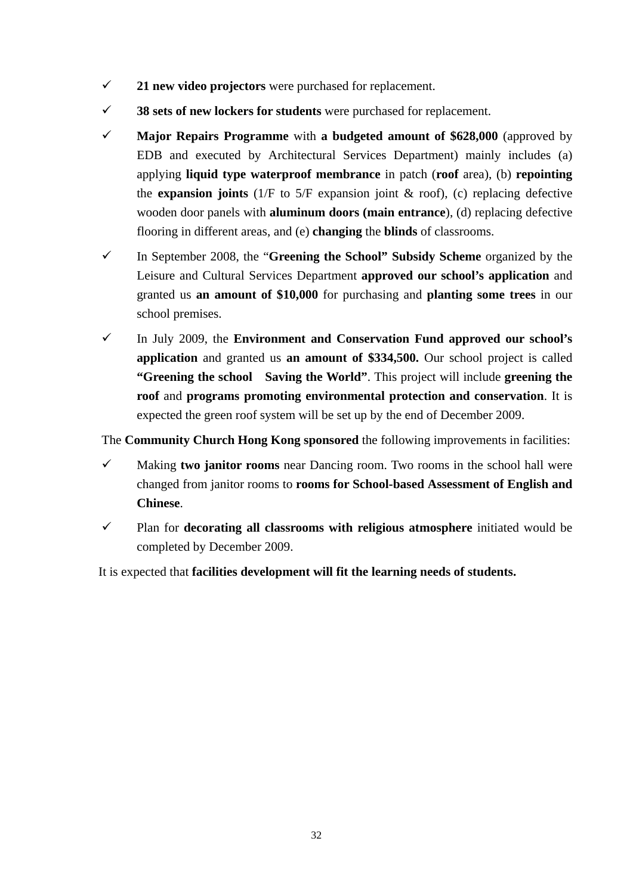- **21 new video projectors** were purchased for replacement.
- **38 sets of new lockers for students** were purchased for replacement.
- **Major Repairs Programme** with **a budgeted amount of \$628,000** (approved by EDB and executed by Architectural Services Department) mainly includes (a) applying **liquid type waterproof membrance** in patch (**roof** area), (b) **repointing** the **expansion joints** (1/F to 5/F expansion joint & roof), (c) replacing defective wooden door panels with **aluminum doors (main entrance**), (d) replacing defective flooring in different areas, and (e) **changing** the **blinds** of classrooms.
- In September 2008, the "**Greening the School" Subsidy Scheme** organized by the Leisure and Cultural Services Department **approved our school's application** and granted us **an amount of \$10,000** for purchasing and **planting some trees** in our school premises.
- In July 2009, the **Environment and Conservation Fund approved our school's application** and granted us **an amount of \$334,500.** Our school project is called **"Greening the school Saving the World"**. This project will include **greening the roof** and **programs promoting environmental protection and conservation**. It is expected the green roof system will be set up by the end of December 2009.

The **Community Church Hong Kong sponsored** the following improvements in facilities:

- $\checkmark$  Making **two janitor rooms** near Dancing room. Two rooms in the school hall were changed from janitor rooms to **rooms for School-based Assessment of English and Chinese**.
- Plan for **decorating all classrooms with religious atmosphere** initiated would be completed by December 2009.

It is expected that **facilities development will fit the learning needs of students.**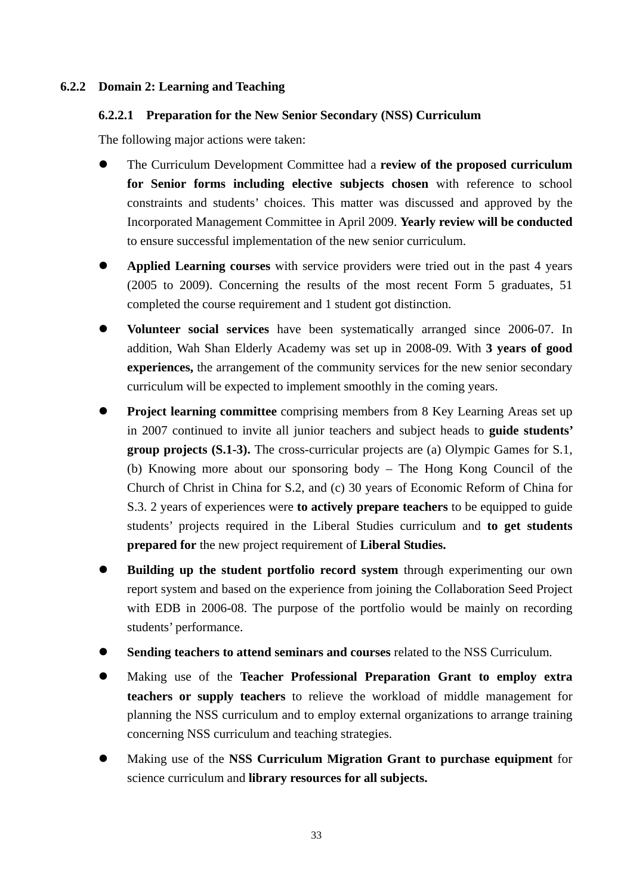#### **6.2.2.1 Preparation for the New Senior Secondary (NSS) Curriculum**

The following major actions were taken:

- The Curriculum Development Committee had a **review of the proposed curriculum for Senior forms including elective subjects chosen** with reference to school constraints and students' choices. This matter was discussed and approved by the Incorporated Management Committee in April 2009. **Yearly review will be conducted** to ensure successful implementation of the new senior curriculum.
- **Applied Learning courses** with service providers were tried out in the past 4 years (2005 to 2009). Concerning the results of the most recent Form 5 graduates, 51 completed the course requirement and 1 student got distinction.
- **Volunteer social services** have been systematically arranged since 2006-07. In addition, Wah Shan Elderly Academy was set up in 2008-09. With **3 years of good experiences,** the arrangement of the community services for the new senior secondary curriculum will be expected to implement smoothly in the coming years.
- **Project learning committee** comprising members from 8 Key Learning Areas set up in 2007 continued to invite all junior teachers and subject heads to **guide students' group projects (S.1-3).** The cross-curricular projects are (a) Olympic Games for S.1, (b) Knowing more about our sponsoring body – The Hong Kong Council of the Church of Christ in China for S.2, and (c) 30 years of Economic Reform of China for S.3. 2 years of experiences were **to actively prepare teachers** to be equipped to guide students' projects required in the Liberal Studies curriculum and **to get students prepared for** the new project requirement of **Liberal Studies.**
- **Building up the student portfolio record system** through experimenting our own report system and based on the experience from joining the Collaboration Seed Project with EDB in 2006-08. The purpose of the portfolio would be mainly on recording students' performance.
- **Sending teachers to attend seminars and courses** related to the NSS Curriculum.
- Making use of the **Teacher Professional Preparation Grant to employ extra teachers or supply teachers** to relieve the workload of middle management for planning the NSS curriculum and to employ external organizations to arrange training concerning NSS curriculum and teaching strategies.
- Making use of the **NSS Curriculum Migration Grant to purchase equipment** for science curriculum and **library resources for all subjects.**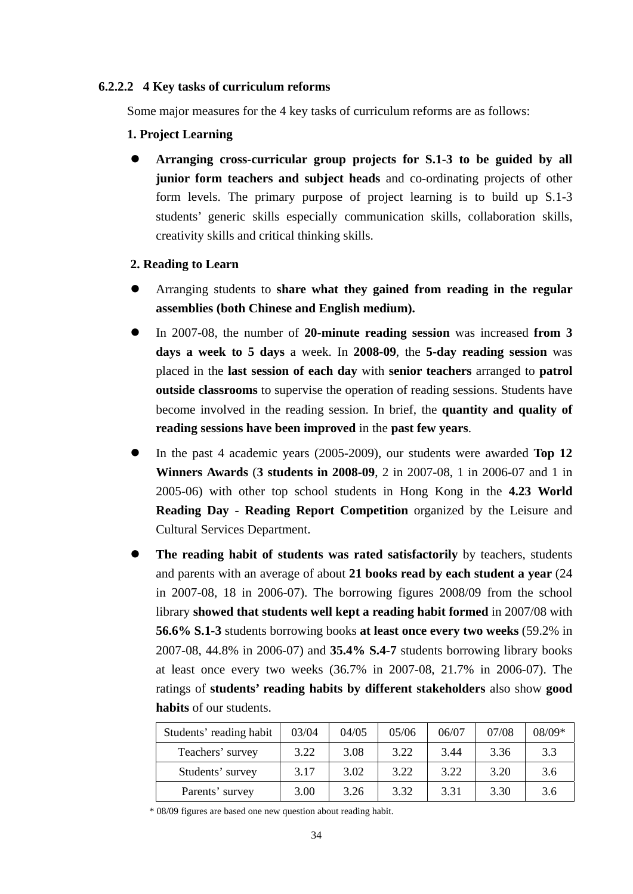#### **6.2.2.2 4 Key tasks of curriculum reforms**

Some major measures for the 4 key tasks of curriculum reforms are as follows:

- **1. Project Learning**
- **Arranging cross-curricular group projects for S.1-3 to be guided by all junior form teachers and subject heads** and co-ordinating projects of other form levels. The primary purpose of project learning is to build up S.1-3 students' generic skills especially communication skills, collaboration skills, creativity skills and critical thinking skills.
- **2. Reading to Learn**
- Arranging students to **share what they gained from reading in the regular assemblies (both Chinese and English medium).**
- In 2007-08, the number of **20-minute reading session** was increased **from 3 days a week to 5 days** a week. In **2008-09**, the **5-day reading session** was placed in the **last session of each day** with **senior teachers** arranged to **patrol outside classrooms** to supervise the operation of reading sessions. Students have become involved in the reading session. In brief, the **quantity and quality of reading sessions have been improved** in the **past few years**.
- In the past 4 academic years (2005-2009), our students were awarded **Top 12 Winners Awards** (**3 students in 2008-09**, 2 in 2007-08, 1 in 2006-07 and 1 in 2005-06) with other top school students in Hong Kong in the **4.23 World Reading Day - Reading Report Competition** organized by the Leisure and Cultural Services Department.
- **The reading habit of students was rated satisfactorily** by teachers, students and parents with an average of about **21 books read by each student a year** (24 in 2007-08, 18 in 2006-07). The borrowing figures 2008/09 from the school library **showed that students well kept a reading habit formed** in 2007/08 with **56.6% S.1-3** students borrowing books **at least once every two weeks** (59.2% in 2007-08, 44.8% in 2006-07) and **35.4% S.4-7** students borrowing library books at least once every two weeks (36.7% in 2007-08, 21.7% in 2006-07). The ratings of **students' reading habits by different stakeholders** also show **good habits** of our students.

| Students' reading habit | 03/04 | 04/05 | 05/06 | 06/07 | 07/08 | 08/09* |
|-------------------------|-------|-------|-------|-------|-------|--------|
| Teachers' survey        | 3.22  | 3.08  | 3.22  | 3.44  | 3.36  | 3.3    |
| Students' survey        | 3.17  | 3.02  | 3.22  | 3.22  | 3.20  | 3.6    |
| Parents' survey         | 3.00  | 3.26  | 3.32  | 3.31  | 3.30  | 3.6    |

\* 08/09 figures are based one new question about reading habit.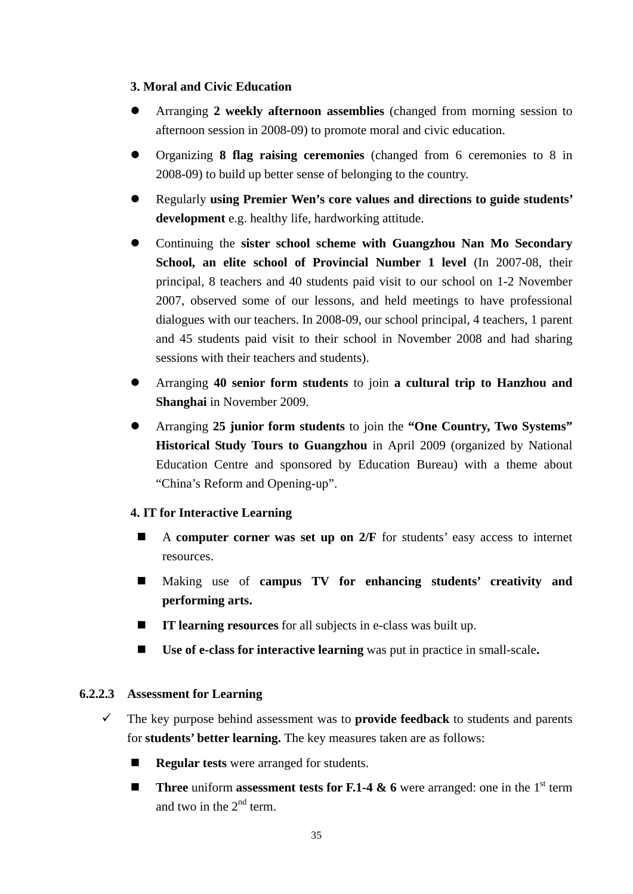#### **3. Moral and Civic Education**

- Arranging **2 weekly afternoon assemblies** (changed from morning session to afternoon session in 2008-09) to promote moral and civic education.
- Organizing **8 flag raising ceremonies** (changed from 6 ceremonies to 8 in 2008-09) to build up better sense of belonging to the country.
- Regularly **using Premier Wen's core values and directions to guide students' development** e.g. healthy life, hardworking attitude.
- Continuing the **sister school scheme with Guangzhou Nan Mo Secondary**  School, an elite school of Provincial Number 1 level (In 2007-08, their principal, 8 teachers and 40 students paid visit to our school on 1-2 November 2007, observed some of our lessons, and held meetings to have professional dialogues with our teachers. In 2008-09, our school principal, 4 teachers, 1 parent and 45 students paid visit to their school in November 2008 and had sharing sessions with their teachers and students).
- Arranging **40 senior form students** to join **a cultural trip to Hanzhou and Shanghai** in November 2009.
- Arranging **25 junior form students** to join the **"One Country, Two Systems" Historical Study Tours to Guangzhou** in April 2009 (organized by National Education Centre and sponsored by Education Bureau) with a theme about "China's Reform and Opening-up".

### **4. IT for Interactive Learning**

- A **computer corner was set up on 2/F** for students' easy access to internet resources.
- Making use of **campus TV for enhancing students' creativity and performing arts.**
- **IT learning resources** for all subjects in e-class was built up.
- Use of e-class for interactive learning was put in practice in small-scale.

### **6.2.2.3 Assessment for Learning**

- The key purpose behind assessment was to **provide feedback** to students and parents for **students' better learning.** The key measures taken are as follows:
	- **Regular tests** were arranged for students.
	- **Three** uniform **assessment tests for F.1-4 & 6** were arranged: one in the 1<sup>st</sup> term and two in the  $2<sup>nd</sup>$  term.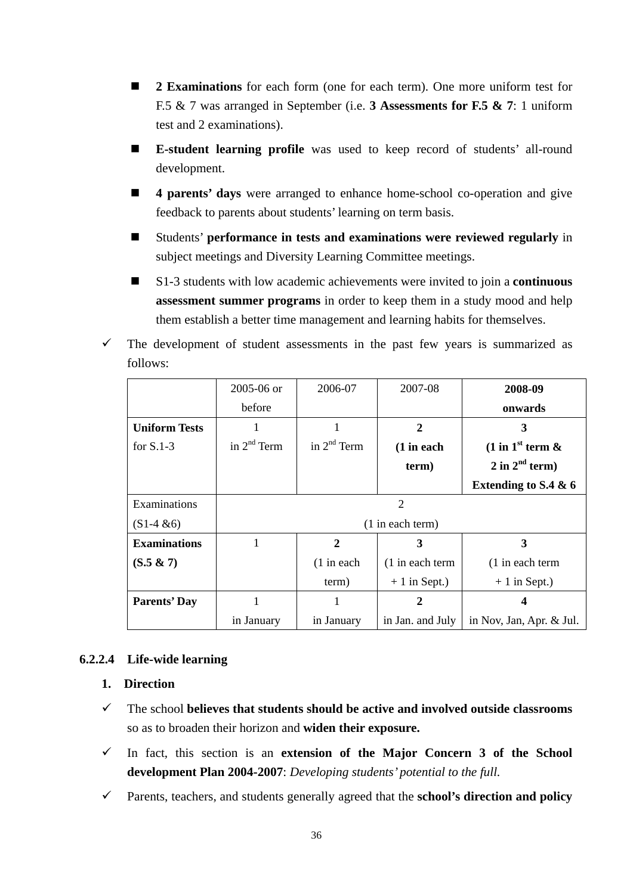- **2 Examinations** for each form (one for each term). One more uniform test for F.5 & 7 was arranged in September (i.e. **3 Assessments for F.5 & 7**: 1 uniform test and 2 examinations).
- **E-student learning profile** was used to keep record of students' all-round development.
- **4 parents' days** were arranged to enhance home-school co-operation and give feedback to parents about students' learning on term basis.
- Students' **performance in tests and examinations were reviewed regularly** in subject meetings and Diversity Learning Committee meetings.
- S1-3 students with low academic achievements were invited to join a **continuous assessment summer programs** in order to keep them in a study mood and help them establish a better time management and learning habits for themselves.
- $\checkmark$  The development of student assessments in the past few years is summarized as follows:

|                      | $2005 - 06$ or | 2006-07       | 2007-08            | 2008-09                                           |
|----------------------|----------------|---------------|--------------------|---------------------------------------------------|
|                      | before         |               |                    | onwards                                           |
| <b>Uniform Tests</b> |                |               | 2                  | 3                                                 |
| for $S.1-3$          | in $2nd$ Term  | in $2nd$ Term | $(1$ in each       | $(1 \text{ in } 1^{\text{st}} \text{ term } \& )$ |
|                      |                |               | term)              | $2$ in $2nd$ term)                                |
|                      |                |               |                    | Extending to S.4 & $6$                            |
| Examinations         |                |               | $\overline{2}$     |                                                   |
| $(S1-4 \& 6)$        |                |               | $(1$ in each term) |                                                   |
| <b>Examinations</b>  |                | 2             | 3                  | 3                                                 |
| $(S.5 \& 7)$         |                | $(1$ in each  | (1 in each term    | (1 in each term                                   |
|                      |                | term)         | $+1$ in Sept.)     | $+1$ in Sept.)                                    |
| <b>Parents' Day</b>  |                | 1             | 2                  | 4                                                 |
|                      | in January     | in January    | in Jan. and July   | in Nov, Jan, Apr. & Jul.                          |

### **6.2.2.4 Life-wide learning**

### **1. Direction**

- The school **believes that students should be active and involved outside classrooms** so as to broaden their horizon and **widen their exposure.**
- In fact, this section is an **extension of the Major Concern 3 of the School development Plan 2004-2007**: *Developing students' potential to the full.*
- Parents, teachers, and students generally agreed that the **school's direction and policy**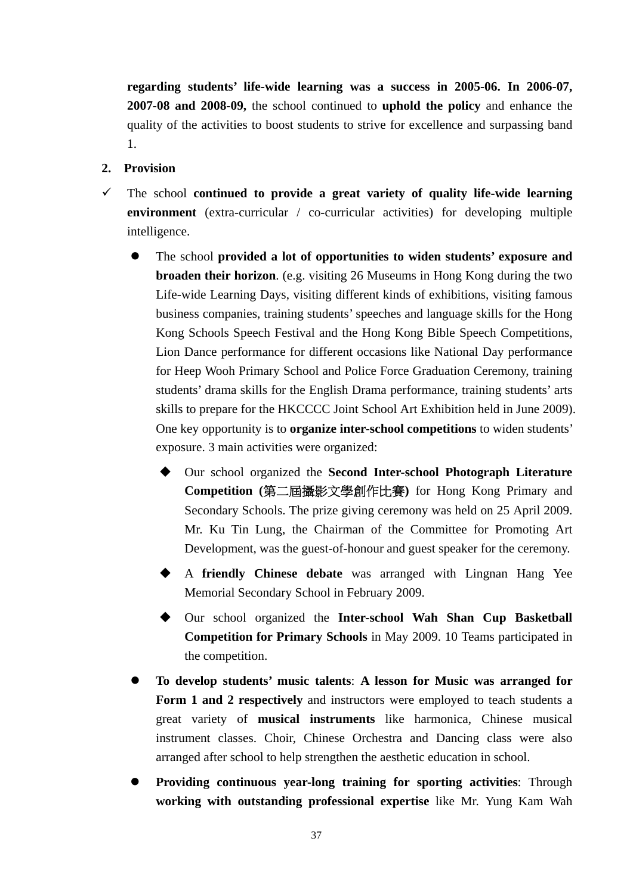**regarding students' life-wide learning was a success in 2005-06. In 2006-07, 2007-08 and 2008-09,** the school continued to **uphold the policy** and enhance the quality of the activities to boost students to strive for excellence and surpassing band 1.

#### **2. Provision**

- The school **continued to provide a great variety of quality life-wide learning environment** (extra-curricular / co-curricular activities) for developing multiple intelligence.
	- The school **provided a lot of opportunities to widen students' exposure and broaden their horizon**. (e.g. visiting 26 Museums in Hong Kong during the two Life-wide Learning Days, visiting different kinds of exhibitions, visiting famous business companies, training students' speeches and language skills for the Hong Kong Schools Speech Festival and the Hong Kong Bible Speech Competitions, Lion Dance performance for different occasions like National Day performance for Heep Wooh Primary School and Police Force Graduation Ceremony, training students' drama skills for the English Drama performance, training students' arts skills to prepare for the HKCCCC Joint School Art Exhibition held in June 2009). One key opportunity is to **organize inter-school competitions** to widen students' exposure. 3 main activities were organized:
		- Our school organized the **Second Inter-school Photograph Literature Competition (**第二屆攝影文學創作比賽**)** for Hong Kong Primary and Secondary Schools. The prize giving ceremony was held on 25 April 2009. Mr. Ku Tin Lung, the Chairman of the Committee for Promoting Art Development, was the guest-of-honour and guest speaker for the ceremony.
		- A **friendly Chinese debate** was arranged with Lingnan Hang Yee Memorial Secondary School in February 2009.
		- Our school organized the **Inter-school Wah Shan Cup Basketball Competition for Primary Schools** in May 2009. 10 Teams participated in the competition.
	- **To develop students' music talents**: **A lesson for Music was arranged for Form 1 and 2 respectively** and instructors were employed to teach students a great variety of **musical instruments** like harmonica, Chinese musical instrument classes. Choir, Chinese Orchestra and Dancing class were also arranged after school to help strengthen the aesthetic education in school.
	- **Providing continuous year-long training for sporting activities**: Through **working with outstanding professional expertise** like Mr. Yung Kam Wah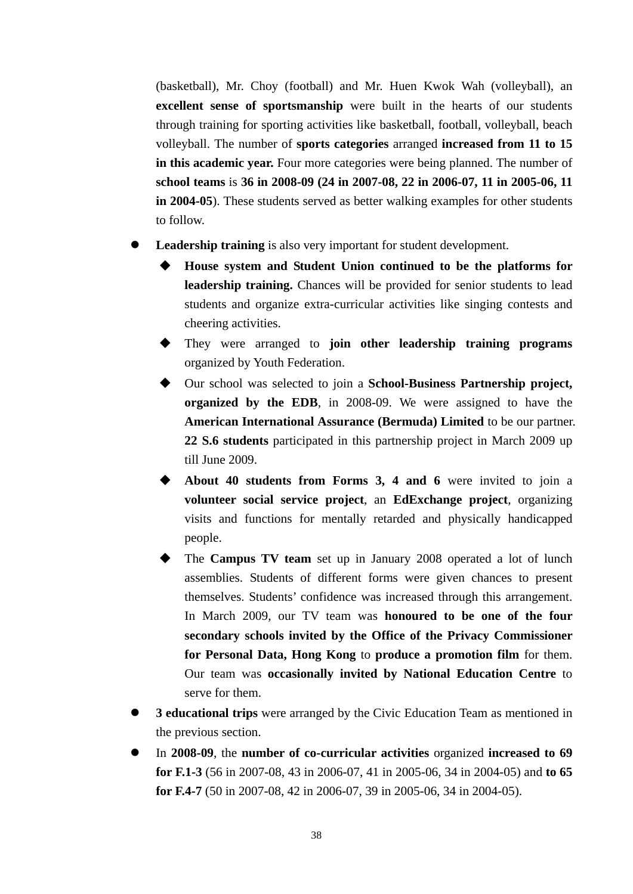(basketball), Mr. Choy (football) and Mr. Huen Kwok Wah (volleyball), an **excellent sense of sportsmanship** were built in the hearts of our students through training for sporting activities like basketball, football, volleyball, beach volleyball. The number of **sports categories** arranged **increased from 11 to 15 in this academic year.** Four more categories were being planned. The number of **school teams** is **36 in 2008-09 (24 in 2007-08, 22 in 2006-07, 11 in 2005-06, 11 in 2004-05**). These students served as better walking examples for other students to follow.

- **Leadership training** is also very important for student development.
	- **House system and Student Union continued to be the platforms for leadership training.** Chances will be provided for senior students to lead students and organize extra-curricular activities like singing contests and cheering activities.
	- They were arranged to **join other leadership training programs**  organized by Youth Federation.
	- Our school was selected to join a **School-Business Partnership project, organized by the EDB**, in 2008-09. We were assigned to have the **American International Assurance (Bermuda) Limited** to be our partner. **22 S.6 students** participated in this partnership project in March 2009 up till June 2009.
	- **About 40 students from Forms 3, 4 and 6** were invited to join a **volunteer social service project**, an **EdExchange project**, organizing visits and functions for mentally retarded and physically handicapped people.
	- The **Campus TV team** set up in January 2008 operated a lot of lunch assemblies. Students of different forms were given chances to present themselves. Students' confidence was increased through this arrangement. In March 2009, our TV team was **honoured to be one of the four secondary schools invited by the Office of the Privacy Commissioner for Personal Data, Hong Kong** to **produce a promotion film** for them. Our team was **occasionally invited by National Education Centre** to serve for them.
- **3 educational trips** were arranged by the Civic Education Team as mentioned in the previous section.
- In **2008-09**, the **number of co-curricular activities** organized **increased to 69 for F.1-3** (56 in 2007-08, 43 in 2006-07, 41 in 2005-06, 34 in 2004-05) and **to 65 for F.4-7** (50 in 2007-08, 42 in 2006-07, 39 in 2005-06, 34 in 2004-05).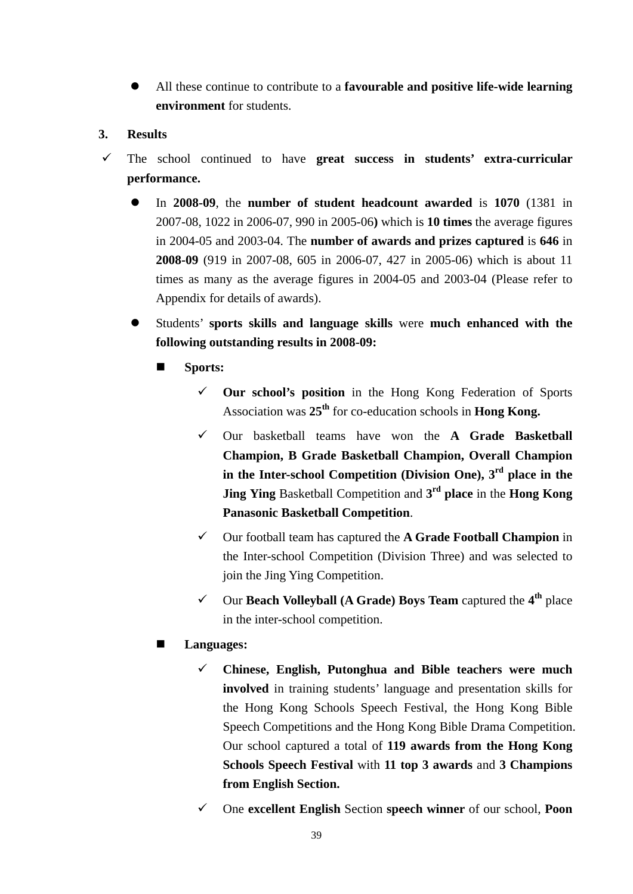- All these continue to contribute to a **favourable and positive life-wide learning environment** for students.
- **3. Results**
- The school continued to have **great success in students' extra-curricular performance.** 
	- In **2008-09**, the **number of student headcount awarded** is **1070** (1381 in 2007-08, 1022 in 2006-07, 990 in 2005-06**)** which is **10 times** the average figures in 2004-05 and 2003-04. The **number of awards and prizes captured** is **646** in **2008-09** (919 in 2007-08, 605 in 2006-07, 427 in 2005-06) which is about 11 times as many as the average figures in 2004-05 and 2003-04 (Please refer to Appendix for details of awards).
	- Students' **sports skills and language skills** were **much enhanced with the following outstanding results in 2008-09:**
		- **Sports:** 
			- **Our school's position** in the Hong Kong Federation of Sports Association was **25th** for co-education schools in **Hong Kong.**
			- Our basketball teams have won the **A Grade Basketball Champion, B Grade Basketball Champion, Overall Champion in the Inter-school Competition (Division One), 3rd place in the Jing Ying** Basketball Competition and **3rd place** in the **Hong Kong Panasonic Basketball Competition**.
			- Our football team has captured the **A Grade Football Champion** in the Inter-school Competition (Division Three) and was selected to join the Jing Ying Competition.
			- $\checkmark$  Our **Beach Volleyball (A Grade) Boys Team** captured the  $4^{th}$  place in the inter-school competition.

### **Languages:**

- **Chinese, English, Putonghua and Bible teachers were much involved** in training students' language and presentation skills for the Hong Kong Schools Speech Festival, the Hong Kong Bible Speech Competitions and the Hong Kong Bible Drama Competition. Our school captured a total of **119 awards from the Hong Kong Schools Speech Festival** with **11 top 3 awards** and **3 Champions from English Section.**
- One **excellent English** Section **speech winner** of our school, **Poon**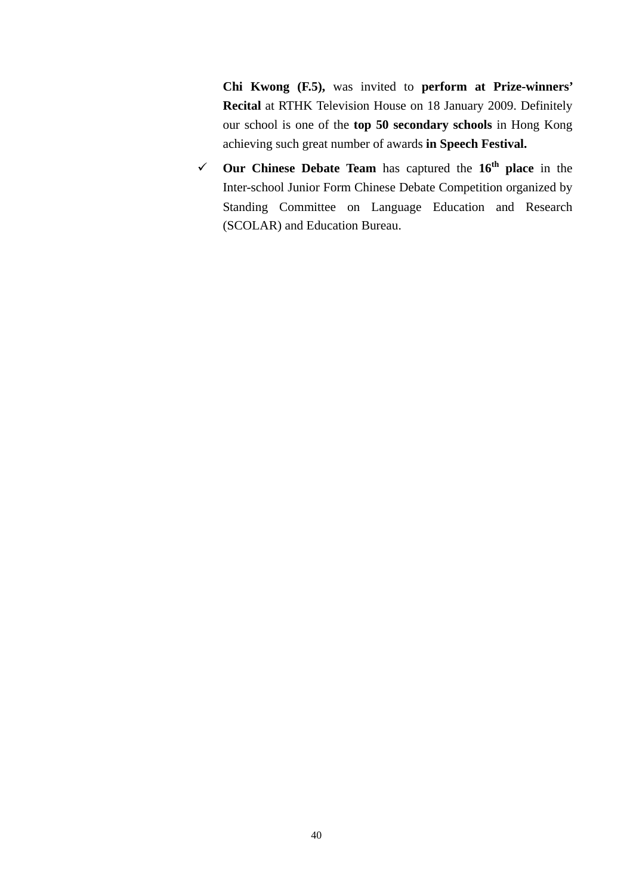**Chi Kwong (F.5),** was invited to **perform at Prize-winners' Recital** at RTHK Television House on 18 January 2009. Definitely our school is one of the **top 50 secondary schools** in Hong Kong achieving such great number of awards **in Speech Festival.**

 $\checkmark$  Our Chinese Debate Team has captured the  $16<sup>th</sup>$  place in the Inter-school Junior Form Chinese Debate Competition organized by Standing Committee on Language Education and Research (SCOLAR) and Education Bureau.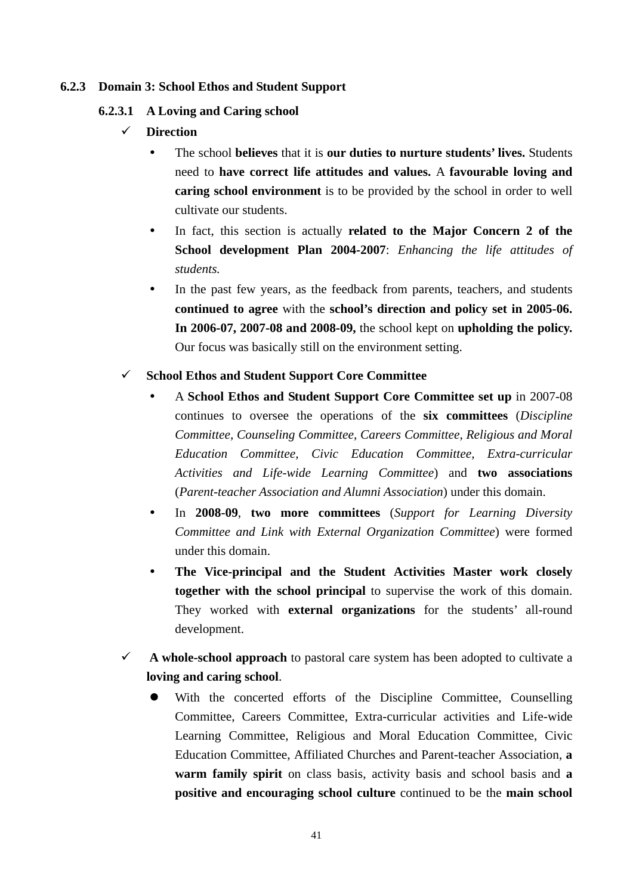#### **6.2.3 Domain 3: School Ethos and Student Support**

#### **6.2.3.1 A Loving and Caring school**

### **Direction**

- The school **believes** that it is **our duties to nurture students' lives.** Students need to **have correct life attitudes and values.** A **favourable loving and caring school environment** is to be provided by the school in order to well cultivate our students.
- In fact, this section is actually **related to the Major Concern 2 of the School development Plan 2004-2007**: *Enhancing the life attitudes of students.*
- In the past few years, as the feedback from parents, teachers, and students **continued to agree** with the **school's direction and policy set in 2005-06. In 2006-07, 2007-08 and 2008-09,** the school kept on **upholding the policy.** Our focus was basically still on the environment setting.

#### **School Ethos and Student Support Core Committee**

- A **School Ethos and Student Support Core Committee set up** in 2007-08 continues to oversee the operations of the **six committees** (*Discipline Committee, Counseling Committee, Careers Committee, Religious and Moral Education Committee, Civic Education Committee, Extra-curricular Activities and Life-wide Learning Committee*) and **two associations**  (*Parent-teacher Association and Alumni Association*) under this domain.
- In **2008-09**, **two more committees** (*Support for Learning Diversity Committee and Link with External Organization Committee*) were formed under this domain.
- **The Vice-principal and the Student Activities Master work closely together with the school principal** to supervise the work of this domain. They worked with **external organizations** for the students' all-round development.
- **A whole-school approach** to pastoral care system has been adopted to cultivate a **loving and caring school**.
	- With the concerted efforts of the Discipline Committee, Counselling Committee, Careers Committee, Extra-curricular activities and Life-wide Learning Committee, Religious and Moral Education Committee, Civic Education Committee, Affiliated Churches and Parent-teacher Association, **a warm family spirit** on class basis, activity basis and school basis and **a positive and encouraging school culture** continued to be the **main school**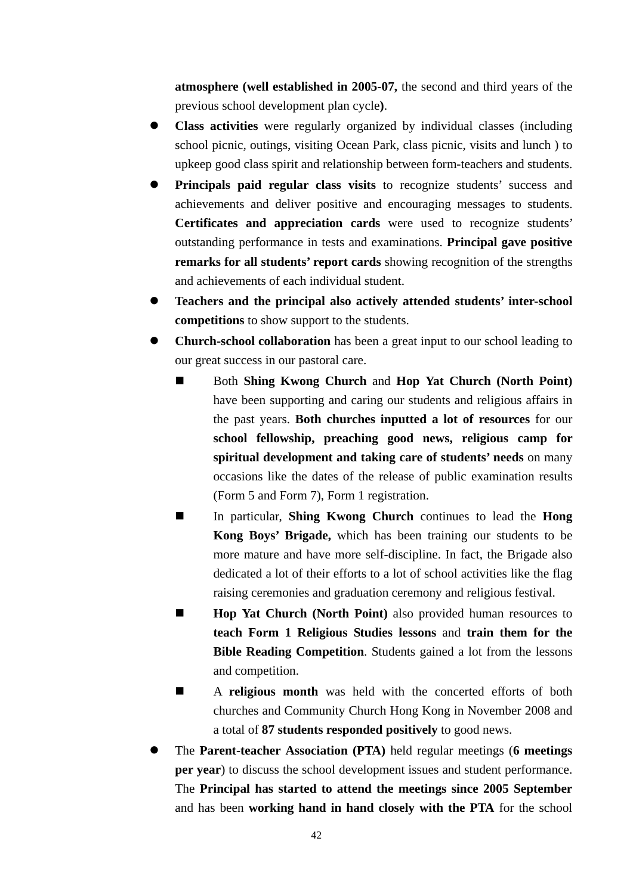**atmosphere (well established in 2005-07,** the second and third years of the previous school development plan cycle**)**.

- **Class activities** were regularly organized by individual classes (including school picnic, outings, visiting Ocean Park, class picnic, visits and lunch ) to upkeep good class spirit and relationship between form-teachers and students.
- **Principals paid regular class visits** to recognize students' success and achievements and deliver positive and encouraging messages to students. **Certificates and appreciation cards** were used to recognize students' outstanding performance in tests and examinations. **Principal gave positive remarks for all students' report cards** showing recognition of the strengths and achievements of each individual student.
- **Teachers and the principal also actively attended students' inter-school competitions** to show support to the students.
- **Church-school collaboration** has been a great input to our school leading to our great success in our pastoral care.
	- Both **Shing Kwong Church** and **Hop Yat Church** (North Point) have been supporting and caring our students and religious affairs in the past years. **Both churches inputted a lot of resources** for our **school fellowship, preaching good news, religious camp for spiritual development and taking care of students' needs** on many occasions like the dates of the release of public examination results (Form 5 and Form 7), Form 1 registration.
	- In particular, **Shing Kwong Church** continues to lead the **Hong Kong Boys' Brigade,** which has been training our students to be more mature and have more self-discipline. In fact, the Brigade also dedicated a lot of their efforts to a lot of school activities like the flag raising ceremonies and graduation ceremony and religious festival.
	- **Hop Yat Church (North Point)** also provided human resources to **teach Form 1 Religious Studies lessons** and **train them for the Bible Reading Competition**. Students gained a lot from the lessons and competition.
	- A **religious month** was held with the concerted efforts of both churches and Community Church Hong Kong in November 2008 and a total of **87 students responded positively** to good news.
- The **Parent-teacher Association (PTA)** held regular meetings (**6 meetings per year**) to discuss the school development issues and student performance. The **Principal has started to attend the meetings since 2005 September** and has been **working hand in hand closely with the PTA** for the school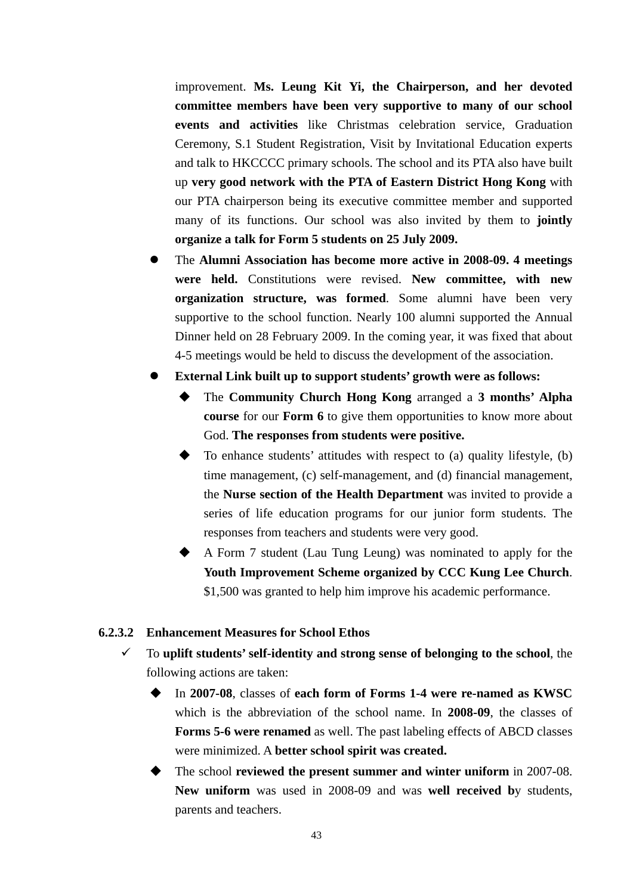improvement. **Ms. Leung Kit Yi, the Chairperson, and her devoted committee members have been very supportive to many of our school events and activities** like Christmas celebration service, Graduation Ceremony, S.1 Student Registration, Visit by Invitational Education experts and talk to HKCCCC primary schools. The school and its PTA also have built up **very good network with the PTA of Eastern District Hong Kong** with our PTA chairperson being its executive committee member and supported many of its functions. Our school was also invited by them to **jointly organize a talk for Form 5 students on 25 July 2009.** 

- The **Alumni Association has become more active in 2008-09. 4 meetings were held.** Constitutions were revised. **New committee, with new organization structure, was formed**. Some alumni have been very supportive to the school function. Nearly 100 alumni supported the Annual Dinner held on 28 February 2009. In the coming year, it was fixed that about 4-5 meetings would be held to discuss the development of the association.
- **External Link built up to support students' growth were as follows:**
	- The **Community Church Hong Kong** arranged a **3 months' Alpha course** for our **Form 6** to give them opportunities to know more about God. **The responses from students were positive.**
	- To enhance students' attitudes with respect to (a) quality lifestyle, (b) time management, (c) self-management, and (d) financial management, the **Nurse section of the Health Department** was invited to provide a series of life education programs for our junior form students. The responses from teachers and students were very good.
	- A Form 7 student (Lau Tung Leung) was nominated to apply for the **Youth Improvement Scheme organized by CCC Kung Lee Church**. \$1,500 was granted to help him improve his academic performance.

#### **6.2.3.2 Enhancement Measures for School Ethos**

- To **uplift students' self-identity and strong sense of belonging to the school**, the following actions are taken:
	- In **2007-08**, classes of **each form of Forms 1-4 were re-named as KWSC** which is the abbreviation of the school name. In **2008-09**, the classes of **Forms 5-6 were renamed** as well. The past labeling effects of ABCD classes were minimized. A **better school spirit was created.**
	- The school **reviewed the present summer and winter uniform** in 2007-08. **New uniform** was used in 2008-09 and was **well received b**y students, parents and teachers.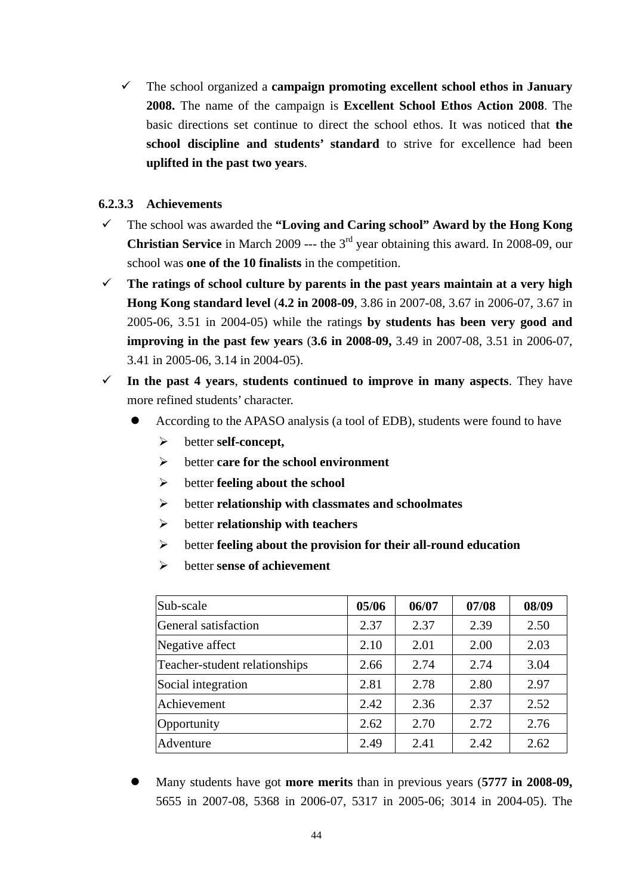The school organized a **campaign promoting excellent school ethos in January 2008.** The name of the campaign is **Excellent School Ethos Action 2008**. The basic directions set continue to direct the school ethos. It was noticed that **the school discipline and students' standard** to strive for excellence had been **uplifted in the past two years**.

#### **6.2.3.3 Achievements**

- The school was awarded the **"Loving and Caring school" Award by the Hong Kong Christian Service** in March 2009 --- the 3<sup>rd</sup> year obtaining this award. In 2008-09, our school was **one of the 10 finalists** in the competition.
- **The ratings of school culture by parents in the past years maintain at a very high Hong Kong standard level** (**4.2 in 2008-09**, 3.86 in 2007-08, 3.67 in 2006-07, 3.67 in 2005-06, 3.51 in 2004-05) while the ratings **by students has been very good and improving in the past few years** (**3.6 in 2008-09,** 3.49 in 2007-08, 3.51 in 2006-07, 3.41 in 2005-06, 3.14 in 2004-05).
- **In the past 4 years**, **students continued to improve in many aspects**. They have more refined students' character.
	- According to the APASO analysis (a tool of EDB), students were found to have
		- better **self-concept,**
		- better **care for the school environment**
		- better **feeling about the school**
		- better **relationship with classmates and schoolmates**
		- better **relationship with teachers**
		- better **feeling about the provision for their all-round education**
		- better **sense of achievement**

| Sub-scale                     | 05/06 | 06/07 | 07/08 | 08/09 |
|-------------------------------|-------|-------|-------|-------|
| General satisfaction          | 2.37  | 2.37  | 2.39  | 2.50  |
| Negative affect               | 2.10  | 2.01  | 2.00  | 2.03  |
| Teacher-student relationships | 2.66  | 2.74  | 2.74  | 3.04  |
| Social integration            | 2.81  | 2.78  | 2.80  | 2.97  |
| Achievement                   | 2.42  | 2.36  | 2.37  | 2.52  |
| Opportunity                   | 2.62  | 2.70  | 2.72  | 2.76  |
| Adventure                     | 2.49  | 2.41  | 2.42  | 2.62  |

 Many students have got **more merits** than in previous years (**5777 in 2008-09,**  5655 in 2007-08, 5368 in 2006-07, 5317 in 2005-06; 3014 in 2004-05). The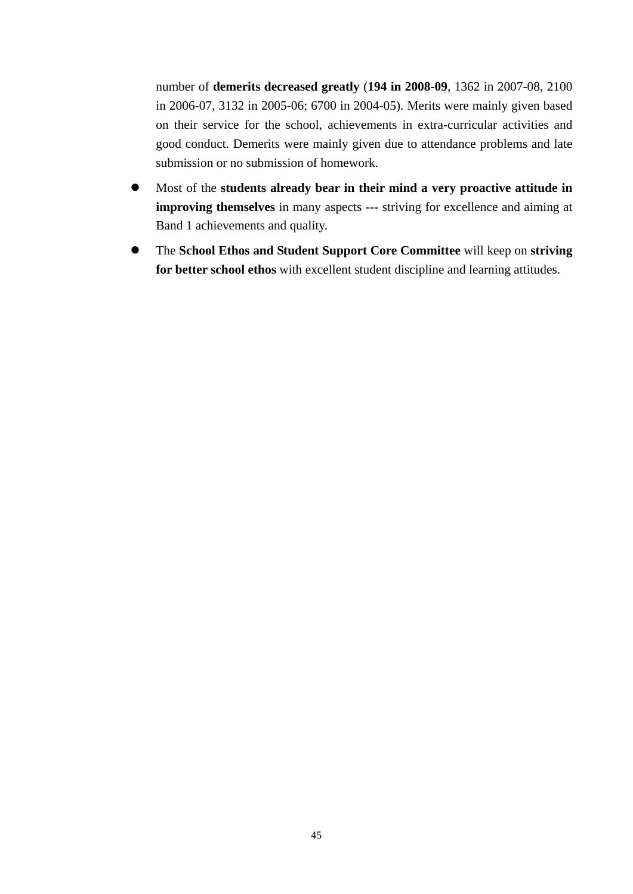number of **demerits decreased greatly** (**194 in 2008-09**, 1362 in 2007-08, 2100 in 2006-07, 3132 in 2005-06; 6700 in 2004-05). Merits were mainly given based on their service for the school, achievements in extra-curricular activities and good conduct. Demerits were mainly given due to attendance problems and late submission or no submission of homework.

- Most of the **students already bear in their mind a very proactive attitude in improving themselves** in many aspects --- striving for excellence and aiming at Band 1 achievements and quality.
- The **School Ethos and Student Support Core Committee** will keep on **striving for better school ethos** with excellent student discipline and learning attitudes.